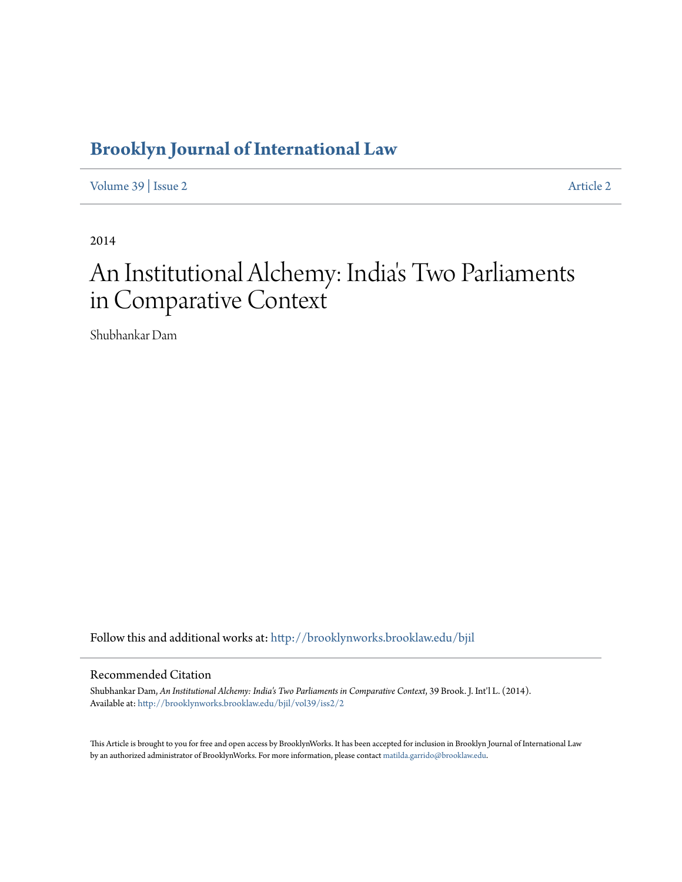# **[Brooklyn Journal of International Law](http://brooklynworks.brooklaw.edu/bjil?utm_source=brooklynworks.brooklaw.edu%2Fbjil%2Fvol39%2Fiss2%2F2&utm_medium=PDF&utm_campaign=PDFCoverPages)**

[Volume 39](http://brooklynworks.brooklaw.edu/bjil/vol39?utm_source=brooklynworks.brooklaw.edu%2Fbjil%2Fvol39%2Fiss2%2F2&utm_medium=PDF&utm_campaign=PDFCoverPages) | [Issue 2](http://brooklynworks.brooklaw.edu/bjil/vol39/iss2?utm_source=brooklynworks.brooklaw.edu%2Fbjil%2Fvol39%2Fiss2%2F2&utm_medium=PDF&utm_campaign=PDFCoverPages) [Article 2](http://brooklynworks.brooklaw.edu/bjil/vol39/iss2/2?utm_source=brooklynworks.brooklaw.edu%2Fbjil%2Fvol39%2Fiss2%2F2&utm_medium=PDF&utm_campaign=PDFCoverPages)

2014

# An Institutional Alchemy: India 's Two Parliaments in Comparative Context

Shubhankar Dam

Follow this and additional works at: [http://brooklynworks.brooklaw.edu/bjil](http://brooklynworks.brooklaw.edu/bjil?utm_source=brooklynworks.brooklaw.edu%2Fbjil%2Fvol39%2Fiss2%2F2&utm_medium=PDF&utm_campaign=PDFCoverPages)

# Recommended Citation

Shubhankar Dam, *An Institutional Alchemy: India's Two Parliaments in Comparative Context*, 39 Brook. J. Int'l L. (2014). Available at: [http://brooklynworks.brooklaw.edu/bjil/vol39/iss2/2](http://brooklynworks.brooklaw.edu/bjil/vol39/iss2/2?utm_source=brooklynworks.brooklaw.edu%2Fbjil%2Fvol39%2Fiss2%2F2&utm_medium=PDF&utm_campaign=PDFCoverPages)

This Article is brought to you for free and open access by BrooklynWorks. It has been accepted for inclusion in Brooklyn Journal of International Law by an authorized administrator of BrooklynWorks. For more information, please contact [matilda.garrido@brooklaw.edu.](mailto:matilda.garrido@brooklaw.edu)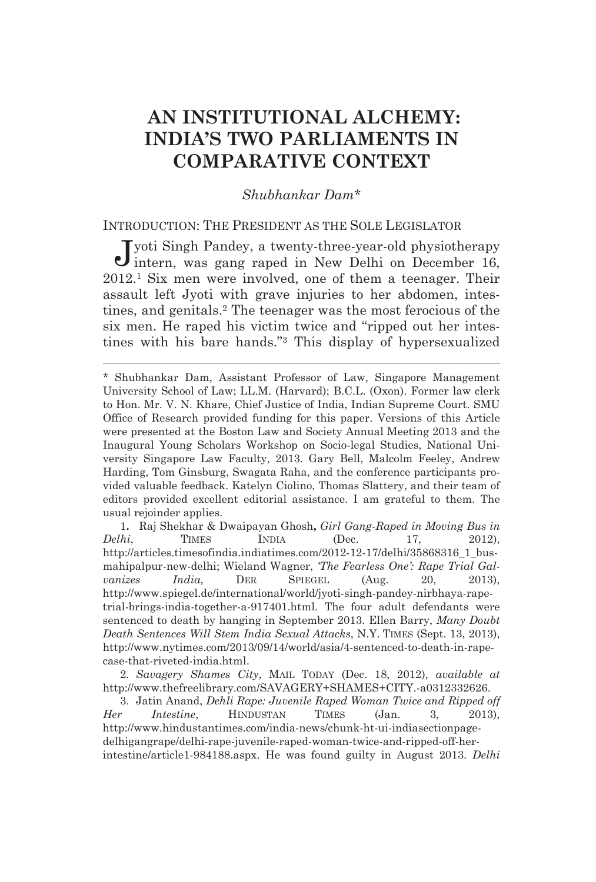# **AN INSTITUTIONAL ALCHEMY: INDIA'S TWO PARLIAMENTS IN COMPARATIVE CONTEXT**

### *Shubhankar Dam\**

# INTRODUCTION: THE PRESIDENT AS THE SOLE LEGISLATOR

yoti Singh Pandey, a twenty-three-year-old physiotherapy Jyoti Singh Pandey, a twenty-three-year-old physiotherapy intern, was gang raped in New Delhi on December 16, 2012.1 Six men were involved, one of them a teenager. Their assault left Jyoti with grave injuries to her abdomen, intestines, and genitals.2 The teenager was the most ferocious of the six men. He raped his victim twice and "ripped out her intestines with his bare hands."3 This display of hypersexualized

<u> Andreas Andreas Andreas Andreas Andreas Andreas Andreas Andreas Andreas Andreas Andreas Andreas Andreas Andr</u>

1**.** Raj Shekhar & Dwaipayan Ghosh**,** *Girl Gang-Raped in Moving Bus in Delhi*, TIMES INDIA (Dec. 17, 2012), http://articles.timesofindia.indiatimes.com/2012-12-17/delhi/35868316\_1\_busmahipalpur-new-delhi; Wieland Wagner, *'The Fearless One': Rape Trial Galvanizes India*, DER SPIEGEL (Aug. 20, 2013), http://www.spiegel.de/international/world/jyoti-singh-pandey-nirbhaya-rapetrial-brings-india-together-a-917401.html. The four adult defendants were sentenced to death by hanging in September 2013. Ellen Barry, *Many Doubt Death Sentences Will Stem India Sexual Attacks*, N.Y. TIMES (Sept. 13, 2013), http://www.nytimes.com/2013/09/14/world/asia/4-sentenced-to-death-in-rapecase-that-riveted-india.html.

2*. Savagery Shames City*, MAIL TODAY (Dec. 18, 2012), *available at* http://www.thefreelibrary.com/SAVAGERY+SHAMES+CITY.-a0312332626.

 3. Jatin Anand, *Dehli Rape: Juvenile Raped Woman Twice and Ripped off Her Intestine*, HINDUSTAN TIMES (Jan. 3, 2013), http://www.hindustantimes.com/india-news/chunk-ht-ui-indiasectionpagedelhigangrape/delhi-rape-juvenile-raped-woman-twice-and-ripped-off-herintestine/article1-984188.aspx. He was found guilty in August 2013. *Delhi* 

<sup>\*</sup> Shubhankar Dam, Assistant Professor of Law, Singapore Management University School of Law; LL.M. (Harvard); B.C.L. (Oxon). Former law clerk to Hon. Mr. V. N. Khare, Chief Justice of India, Indian Supreme Court. SMU Office of Research provided funding for this paper. Versions of this Article were presented at the Boston Law and Society Annual Meeting 2013 and the Inaugural Young Scholars Workshop on Socio-legal Studies, National University Singapore Law Faculty, 2013. Gary Bell, Malcolm Feeley, Andrew Harding, Tom Ginsburg, Swagata Raha, and the conference participants provided valuable feedback. Katelyn Ciolino, Thomas Slattery, and their team of editors provided excellent editorial assistance. I am grateful to them. The usual rejoinder applies.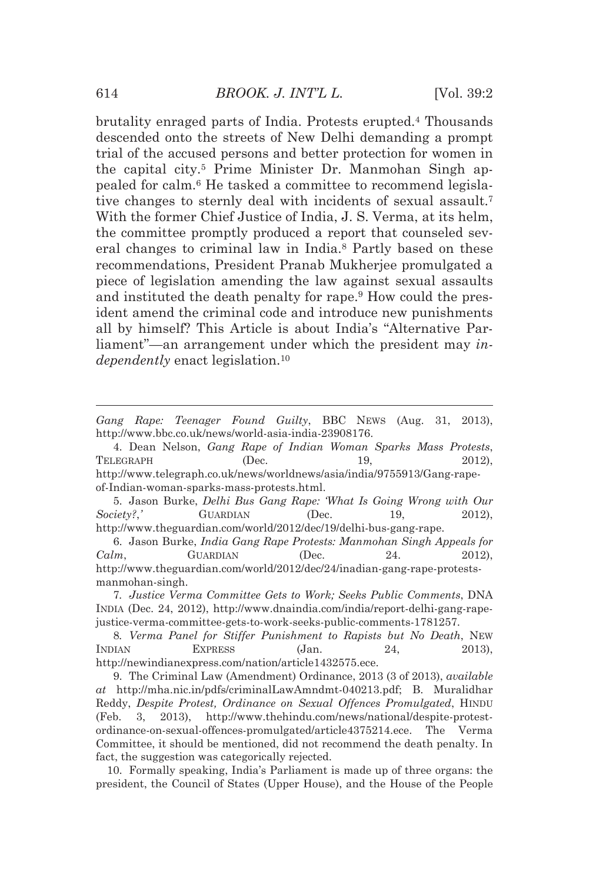brutality enraged parts of India. Protests erupted.4 Thousands descended onto the streets of New Delhi demanding a prompt trial of the accused persons and better protection for women in the capital city.5 Prime Minister Dr. Manmohan Singh appealed for calm.6 He tasked a committee to recommend legislative changes to sternly deal with incidents of sexual assault.7 With the former Chief Justice of India, J. S. Verma, at its helm, the committee promptly produced a report that counseled several changes to criminal law in India.8 Partly based on these recommendations, President Pranab Mukherjee promulgated a piece of legislation amending the law against sexual assaults and instituted the death penalty for rape.<sup>9</sup> How could the president amend the criminal code and introduce new punishments all by himself? This Article is about India's "Alternative Parliament"—an arrangement under which the president may *independently* enact legislation.<sup>10</sup>

 5. Jason Burke, *Delhi Bus Gang Rape: 'What Is Going Wrong with Our Society?*, **C**UARDIAN (Dec. 19, 2012), http://www.theguardian.com/world/2012/dec/19/delhi-bus-gang-rape.

 6. Jason Burke, *India Gang Rape Protests: Manmohan Singh Appeals for Calm*, *GUARDIAN* (Dec. 24. 2012), http://www.theguardian.com/world/2012/dec/24/inadian-gang-rape-protestsmanmohan-singh.

8*. Verma Panel for Stiffer Punishment to Rapists but No Death*, NEW INDIAN EXPRESS (Jan. 24, 2013), http://newindianexpress.com/nation/article1432575.ece.

 9. The Criminal Law (Amendment) Ordinance, 2013 (3 of 2013), *available at* http://mha.nic.in/pdfs/criminalLawAmndmt-040213.pdf; B. Muralidhar Reddy, *Despite Protest, Ordinance on Sexual Offences Promulgated*, HINDU (Feb. 3, 2013), http://www.thehindu.com/news/national/despite-protestordinance-on-sexual-offences-promulgated/article4375214.ece. The Verma Committee, it should be mentioned, did not recommend the death penalty. In fact, the suggestion was categorically rejected.

 10. Formally speaking, India's Parliament is made up of three organs: the president, the Council of States (Upper House), and the House of the People

<sup>&</sup>lt;u> Alexandria de la contrada de la contrada de la contrada de la contrada de la contrada de la contrada de la c</u> *Gang Rape: Teenager Found Guilty*, BBC NEWS (Aug. 31, 2013), http://www.bbc.co.uk/news/world-asia-india-23908176.

 <sup>4.</sup> Dean Nelson, *Gang Rape of Indian Woman Sparks Mass Protests*, TELEGRAPH (Dec. 19, 2012), http://www.telegraph.co.uk/news/worldnews/asia/india/9755913/Gang-rapeof-Indian-woman-sparks-mass-protests.html.

<sup>7</sup>*. Justice Verma Committee Gets to Work; Seeks Public Comments*, DNA INDIA (Dec. 24, 2012), http://www.dnaindia.com/india/report-delhi-gang-rapejustice-verma-committee-gets-to-work-seeks-public-comments-1781257.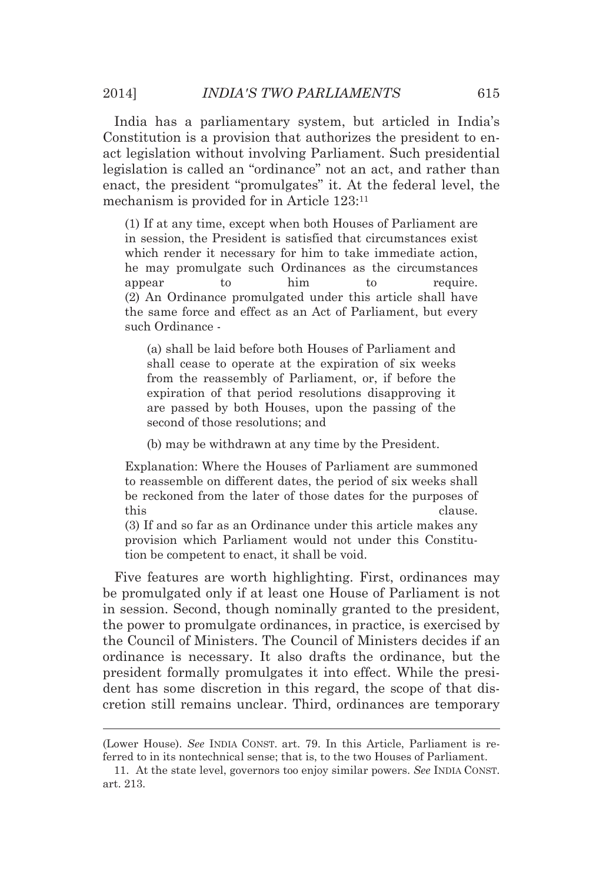India has a parliamentary system, but articled in India's Constitution is a provision that authorizes the president to enact legislation without involving Parliament. Such presidential legislation is called an "ordinance" not an act, and rather than enact, the president "promulgates" it. At the federal level, the mechanism is provided for in Article 123:11

(1) If at any time, except when both Houses of Parliament are in session, the President is satisfied that circumstances exist which render it necessary for him to take immediate action, he may promulgate such Ordinances as the circumstances appear to him to require. (2) An Ordinance promulgated under this article shall have the same force and effect as an Act of Parliament, but every such Ordinance -

(a) shall be laid before both Houses of Parliament and shall cease to operate at the expiration of six weeks from the reassembly of Parliament, or, if before the expiration of that period resolutions disapproving it are passed by both Houses, upon the passing of the second of those resolutions; and

(b) may be withdrawn at any time by the President.

Explanation: Where the Houses of Parliament are summoned to reassemble on different dates, the period of six weeks shall be reckoned from the later of those dates for the purposes of this clause.

(3) If and so far as an Ordinance under this article makes any provision which Parliament would not under this Constitution be competent to enact, it shall be void.

Five features are worth highlighting. First, ordinances may be promulgated only if at least one House of Parliament is not in session. Second, though nominally granted to the president, the power to promulgate ordinances, in practice, is exercised by the Council of Ministers. The Council of Ministers decides if an ordinance is necessary. It also drafts the ordinance, but the president formally promulgates it into effect. While the president has some discretion in this regard, the scope of that discretion still remains unclear. Third, ordinances are temporary

<sup>&</sup>lt;u> 1989 - Johann Stein, marwolaethau a bhann an t-Amhain an t-Amhain an t-Amhain an t-Amhain an t-Amhain an t-A</u> (Lower House). *See* INDIA CONST. art. 79. In this Article, Parliament is referred to in its nontechnical sense; that is, to the two Houses of Parliament.

 <sup>11.</sup> At the state level, governors too enjoy similar powers. *See* INDIA CONST. art. 213.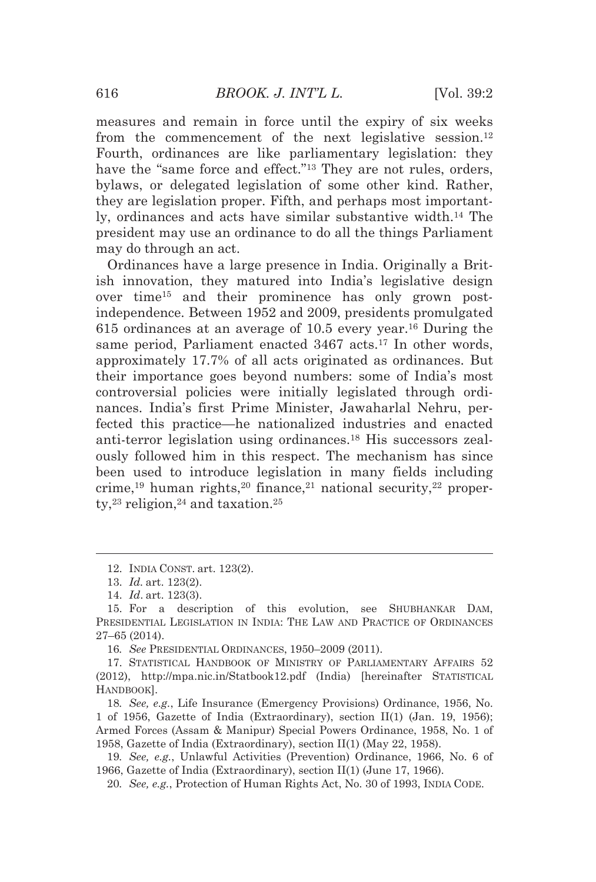measures and remain in force until the expiry of six weeks from the commencement of the next legislative session.<sup>12</sup> Fourth, ordinances are like parliamentary legislation: they have the "same force and effect."<sup>13</sup> They are not rules, orders, bylaws, or delegated legislation of some other kind. Rather, they are legislation proper. Fifth, and perhaps most importantly, ordinances and acts have similar substantive width.14 The president may use an ordinance to do all the things Parliament may do through an act.

Ordinances have a large presence in India. Originally a British innovation, they matured into India's legislative design over time15 and their prominence has only grown postindependence. Between 1952 and 2009, presidents promulgated 615 ordinances at an average of 10.5 every year.16 During the same period, Parliament enacted 3467 acts.<sup>17</sup> In other words, approximately 17.7% of all acts originated as ordinances. But their importance goes beyond numbers: some of India's most controversial policies were initially legislated through ordinances. India's first Prime Minister, Jawaharlal Nehru, perfected this practice—he nationalized industries and enacted anti-terror legislation using ordinances.18 His successors zealously followed him in this respect. The mechanism has since been used to introduce legislation in many fields including crime,<sup>19</sup> human rights,<sup>20</sup> finance,<sup>21</sup> national security,<sup>22</sup> property, $23$  religion, $24$  and taxation. $25$ 

<u> Andreas Andreas Andreas Andreas Andreas Andreas Andreas Andreas Andreas Andreas Andreas Andreas Andreas Andr</u>

16*. See* PRESIDENTIAL ORDINANCES, 1950–2009 (2011).

 17. STATISTICAL HANDBOOK OF MINISTRY OF PARLIAMENTARY AFFAIRS 52 (2012), http://mpa.nic.in/Statbook12.pdf (India) [hereinafter STATISTICAL HANDBOOK].

18*. See, e.g.*, Life Insurance (Emergency Provisions) Ordinance, 1956, No. 1 of 1956, Gazette of India (Extraordinary), section II(1) (Jan. 19, 1956); Armed Forces (Assam & Manipur) Special Powers Ordinance, 1958, No. 1 of 1958, Gazette of India (Extraordinary), section II(1) (May 22, 1958).

19*. See, e.g.*, Unlawful Activities (Prevention) Ordinance, 1966, No. 6 of 1966, Gazette of India (Extraordinary), section II(1) (June 17, 1966).

20*. See, e.g.*, Protection of Human Rights Act, No. 30 of 1993, INDIA CODE.

 <sup>12.</sup> INDIA CONST. art. 123(2).

 <sup>13.</sup> *Id.* art. 123(2).

 <sup>14.</sup> *Id*. art. 123(3).

 <sup>15.</sup> For a description of this evolution, see SHUBHANKAR DAM, PRESIDENTIAL LEGISLATION IN INDIA: THE LAW AND PRACTICE OF ORDINANCES 27–65 (2014).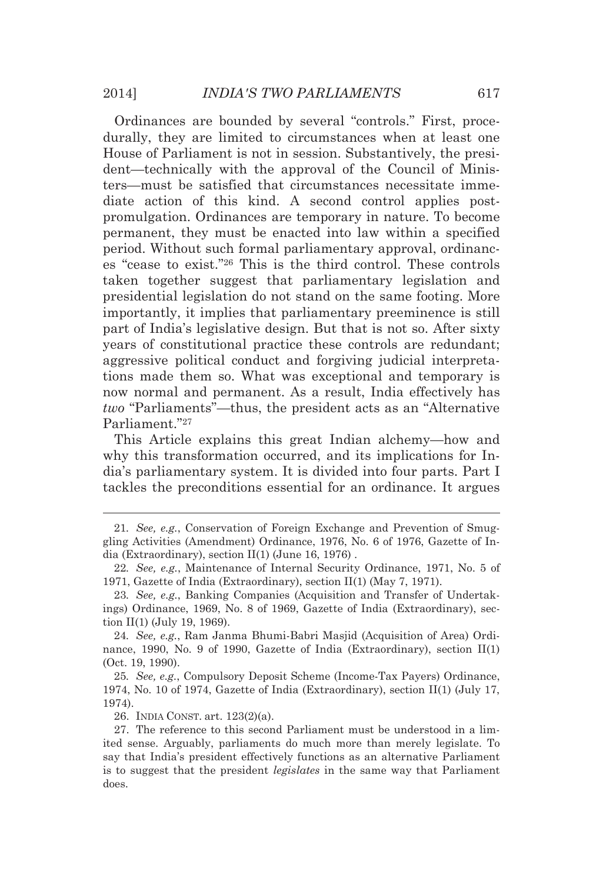Ordinances are bounded by several "controls." First, procedurally, they are limited to circumstances when at least one House of Parliament is not in session. Substantively, the president—technically with the approval of the Council of Ministers—must be satisfied that circumstances necessitate immediate action of this kind. A second control applies postpromulgation. Ordinances are temporary in nature. To become permanent, they must be enacted into law within a specified period. Without such formal parliamentary approval, ordinances "cease to exist."26 This is the third control. These controls taken together suggest that parliamentary legislation and presidential legislation do not stand on the same footing. More importantly, it implies that parliamentary preeminence is still part of India's legislative design. But that is not so. After sixty years of constitutional practice these controls are redundant; aggressive political conduct and forgiving judicial interpretations made them so. What was exceptional and temporary is now normal and permanent. As a result, India effectively has *two* "Parliaments"—thus, the president acts as an "Alternative Parliament."27

This Article explains this great Indian alchemy—how and why this transformation occurred, and its implications for India's parliamentary system. It is divided into four parts. Part I tackles the preconditions essential for an ordinance. It argues

<u> Andreas Andreas Andreas Andreas Andreas Andreas Andreas Andreas Andreas Andreas Andreas Andreas Andreas Andr</u>

24*. See, e.g.*, Ram Janma Bhumi-Babri Masjid (Acquisition of Area) Ordinance, 1990, No. 9 of 1990, Gazette of India (Extraordinary), section II(1) (Oct. 19, 1990).

25*. See, e.g.*, Compulsory Deposit Scheme (Income-Tax Payers) Ordinance, 1974, No. 10 of 1974, Gazette of India (Extraordinary), section II(1) (July 17, 1974).

26. INDIA CONST. art. 123(2)(a).

<sup>21</sup>*. See, e.g.*, Conservation of Foreign Exchange and Prevention of Smuggling Activities (Amendment) Ordinance, 1976, No. 6 of 1976, Gazette of India (Extraordinary), section II(1) (June 16, 1976) .

<sup>22</sup>*. See, e.g.*, Maintenance of Internal Security Ordinance, 1971, No. 5 of 1971, Gazette of India (Extraordinary), section II(1) (May 7, 1971).

<sup>23</sup>*. See, e.g.*, Banking Companies (Acquisition and Transfer of Undertakings) Ordinance, 1969, No. 8 of 1969, Gazette of India (Extraordinary), section II(1) (July 19, 1969).

 <sup>27.</sup> The reference to this second Parliament must be understood in a limited sense. Arguably, parliaments do much more than merely legislate. To say that India's president effectively functions as an alternative Parliament is to suggest that the president *legislates* in the same way that Parliament does.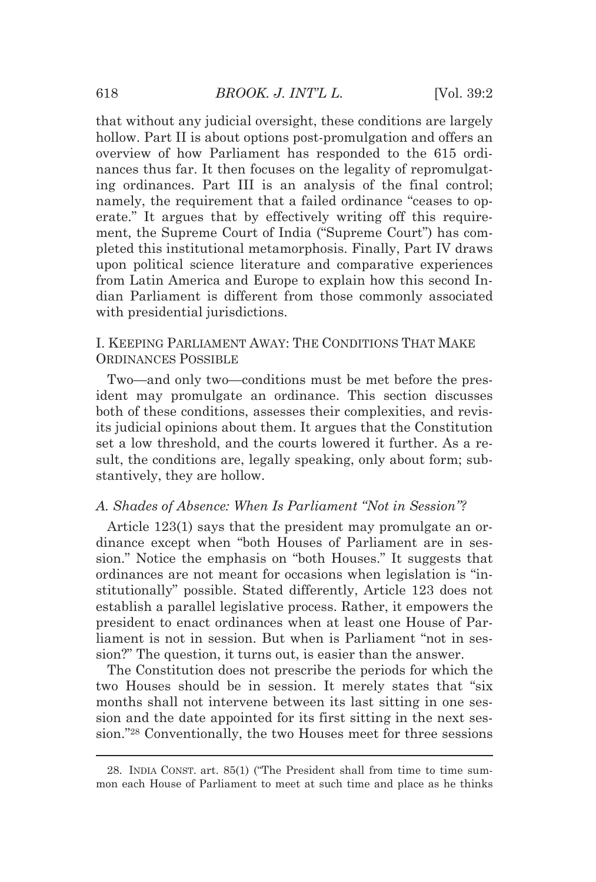that without any judicial oversight, these conditions are largely hollow. Part II is about options post-promulgation and offers an overview of how Parliament has responded to the 615 ordinances thus far. It then focuses on the legality of repromulgating ordinances. Part III is an analysis of the final control; namely, the requirement that a failed ordinance "ceases to operate." It argues that by effectively writing off this requirement, the Supreme Court of India ("Supreme Court") has completed this institutional metamorphosis. Finally, Part IV draws upon political science literature and comparative experiences from Latin America and Europe to explain how this second Indian Parliament is different from those commonly associated with presidential jurisdictions.

# I. KEEPING PARLIAMENT AWAY: THE CONDITIONS THAT MAKE ORDINANCES POSSIBLE

Two—and only two—conditions must be met before the president may promulgate an ordinance. This section discusses both of these conditions, assesses their complexities, and revisits judicial opinions about them. It argues that the Constitution set a low threshold, and the courts lowered it further. As a result, the conditions are, legally speaking, only about form; substantively, they are hollow.

#### *A. Shades of Absence: When Is Parliament "Not in Session"?*

Article 123(1) says that the president may promulgate an ordinance except when "both Houses of Parliament are in session." Notice the emphasis on "both Houses." It suggests that ordinances are not meant for occasions when legislation is "institutionally" possible. Stated differently, Article 123 does not establish a parallel legislative process. Rather, it empowers the president to enact ordinances when at least one House of Parliament is not in session. But when is Parliament "not in session?" The question, it turns out, is easier than the answer.

The Constitution does not prescribe the periods for which the two Houses should be in session. It merely states that "six months shall not intervene between its last sitting in one session and the date appointed for its first sitting in the next session."28 Conventionally, the two Houses meet for three sessions

<sup>&</sup>lt;u> 1989 - Johann Barn, mars eta bat erroman erroman erroman erroman erroman erroman erroman erroman erroman err</u> 28. INDIA CONST. art. 85(1) ("The President shall from time to time summon each House of Parliament to meet at such time and place as he thinks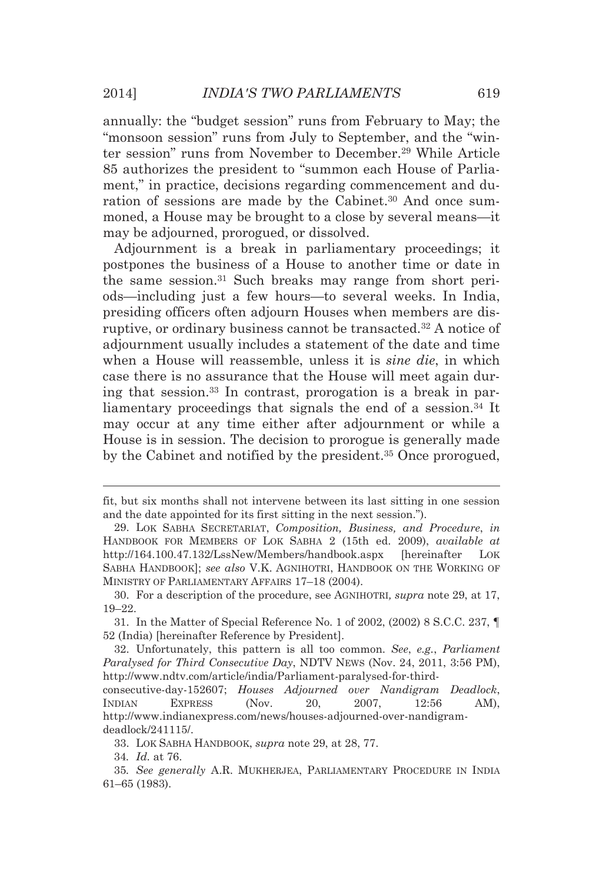annually: the "budget session" runs from February to May; the "monsoon session" runs from July to September, and the "winter session" runs from November to December.29 While Article 85 authorizes the president to "summon each House of Parliament," in practice, decisions regarding commencement and duration of sessions are made by the Cabinet.<sup>30</sup> And once summoned, a House may be brought to a close by several means—it may be adjourned, prorogued, or dissolved.

Adjournment is a break in parliamentary proceedings; it postpones the business of a House to another time or date in the same session.31 Such breaks may range from short periods—including just a few hours—to several weeks. In India, presiding officers often adjourn Houses when members are disruptive, or ordinary business cannot be transacted.32 A notice of adjournment usually includes a statement of the date and time when a House will reassemble, unless it is *sine die*, in which case there is no assurance that the House will meet again during that session.33 In contrast, prorogation is a break in parliamentary proceedings that signals the end of a session.<sup>34</sup> It may occur at any time either after adjournment or while a House is in session. The decision to prorogue is generally made by the Cabinet and notified by the president.35 Once prorogued,

34*. Id.* at 76.

<sup>&</sup>lt;u> Andreas Andreas Andreas Andreas Andreas Andreas Andreas Andreas Andreas Andreas Andreas Andreas Andreas Andr</u> fit, but six months shall not intervene between its last sitting in one session and the date appointed for its first sitting in the next session.").

 <sup>29.</sup> LOK SABHA SECRETARIAT, *Composition, Business, and Procedure*, *in* HANDBOOK FOR MEMBERS OF LOK SABHA 2 (15th ed. 2009), *available at* http://164.100.47.132/LssNew/Members/handbook.aspx [hereinafter LOK SABHA HANDBOOK]; *see also* V.K. AGNIHOTRI, HANDBOOK ON THE WORKING OF MINISTRY OF PARLIAMENTARY AFFAIRS 17–18 (2004).

 <sup>30.</sup> For a description of the procedure, see AGNIHOTRI*, supra* note 29, at 17, 19–22.

 <sup>31.</sup> In the Matter of Special Reference No. 1 of 2002, (2002) 8 S.C.C. 237, ¶ 52 (India) [hereinafter Reference by President].

 <sup>32.</sup> Unfortunately, this pattern is all too common. *See*, *e.g.*, *Parliament Paralysed for Third Consecutive Day*, NDTV NEWS (Nov. 24, 2011, 3:56 PM), http://www.ndtv.com/article/india/Parliament-paralysed-for-third-

consecutive-day-152607; *Houses Adjourned over Nandigram Deadlock*, INDIAN EXPRESS (Nov. 20, 2007, 12:56 AM), http://www.indianexpress.com/news/houses-adjourned-over-nandigramdeadlock/241115/.

 <sup>33.</sup> LOK SABHA HANDBOOK, *supra* note 29, at 28, 77.

<sup>35</sup>*. See generally* A.R. MUKHERJEA, PARLIAMENTARY PROCEDURE IN INDIA 61–65 (1983).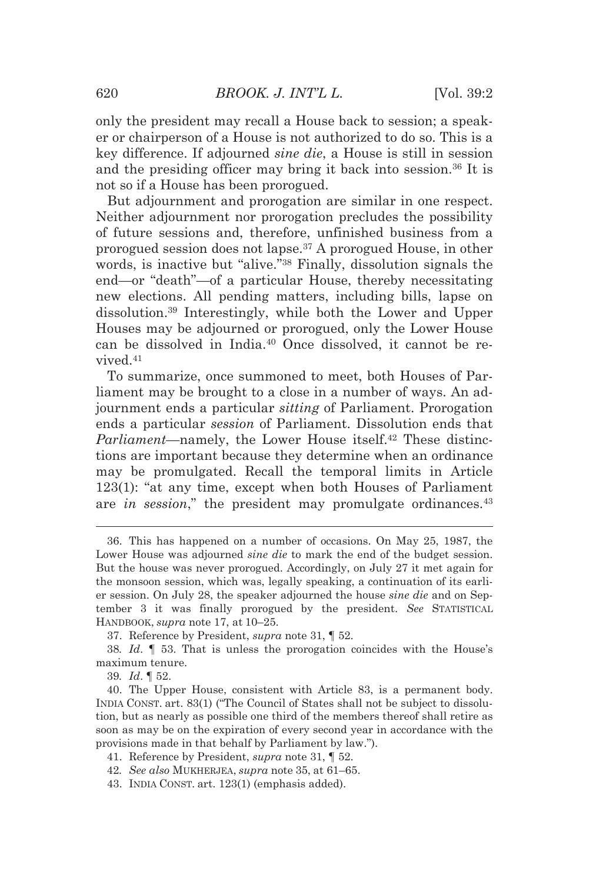only the president may recall a House back to session; a speaker or chairperson of a House is not authorized to do so. This is a key difference. If adjourned *sine die*, a House is still in session and the presiding officer may bring it back into session.36 It is not so if a House has been prorogued.

But adjournment and prorogation are similar in one respect. Neither adjournment nor prorogation precludes the possibility of future sessions and, therefore, unfinished business from a prorogued session does not lapse.37 A prorogued House, in other words, is inactive but "alive."38 Finally, dissolution signals the end—or "death"—of a particular House, thereby necessitating new elections. All pending matters, including bills, lapse on dissolution.39 Interestingly, while both the Lower and Upper Houses may be adjourned or prorogued, only the Lower House can be dissolved in India.40 Once dissolved, it cannot be revived.41

To summarize, once summoned to meet, both Houses of Parliament may be brought to a close in a number of ways. An adjournment ends a particular *sitting* of Parliament. Prorogation ends a particular *session* of Parliament. Dissolution ends that *Parliament*—namely, the Lower House itself.<sup>42</sup> These distinctions are important because they determine when an ordinance may be promulgated. Recall the temporal limits in Article 123(1): "at any time, except when both Houses of Parliament are *in session*," the president may promulgate ordinances.<sup>43</sup>

<u> 1989 - Johann Barn, mars eta bat erroman erroman erroman erroman erroman erroman erroman erroman erroman err</u>

 <sup>36.</sup> This has happened on a number of occasions. On May 25, 1987, the Lower House was adjourned *sine die* to mark the end of the budget session. But the house was never prorogued. Accordingly, on July 27 it met again for the monsoon session, which was, legally speaking, a continuation of its earlier session. On July 28, the speaker adjourned the house *sine die* and on September 3 it was finally prorogued by the president. *See* STATISTICAL HANDBOOK, *supra* note 17, at 10–25.

 <sup>37.</sup> Reference by President, *supra* note 31, ¶ 52.

<sup>38</sup>*. Id*. ¶ 53. That is unless the prorogation coincides with the House's maximum tenure.

<sup>39</sup>*. Id*. ¶ 52.

 <sup>40.</sup> The Upper House, consistent with Article 83, is a permanent body. INDIA CONST. art. 83(1) ("The Council of States shall not be subject to dissolution, but as nearly as possible one third of the members thereof shall retire as soon as may be on the expiration of every second year in accordance with the provisions made in that behalf by Parliament by law.").

 <sup>41.</sup> Reference by President, *supra* note 31, ¶ 52.

<sup>42</sup>*. See also* MUKHERJEA, *supra* note 35, at 61–65.

 <sup>43.</sup> INDIA CONST. art. 123(1) (emphasis added).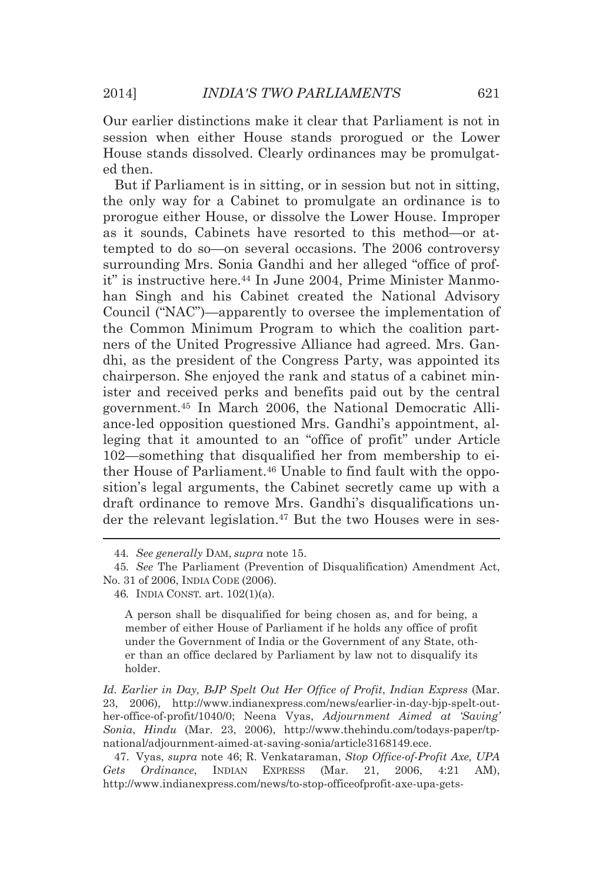Our earlier distinctions make it clear that Parliament is not in session when either House stands prorogued or the Lower House stands dissolved. Clearly ordinances may be promulgated then.

But if Parliament is in sitting, or in session but not in sitting, the only way for a Cabinet to promulgate an ordinance is to prorogue either House, or dissolve the Lower House. Improper as it sounds, Cabinets have resorted to this method—or attempted to do so—on several occasions. The 2006 controversy surrounding Mrs. Sonia Gandhi and her alleged "office of profit" is instructive here.<sup>44</sup> In June 2004, Prime Minister Manmohan Singh and his Cabinet created the National Advisory Council ("NAC")—apparently to oversee the implementation of the Common Minimum Program to which the coalition partners of the United Progressive Alliance had agreed. Mrs. Gandhi, as the president of the Congress Party, was appointed its chairperson. She enjoyed the rank and status of a cabinet minister and received perks and benefits paid out by the central government.45 In March 2006, the National Democratic Alliance-led opposition questioned Mrs. Gandhi's appointment, alleging that it amounted to an "office of profit" under Article 102—something that disqualified her from membership to either House of Parliament.46 Unable to find fault with the opposition's legal arguments, the Cabinet secretly came up with a draft ordinance to remove Mrs. Gandhi's disqualifications under the relevant legislation.<sup>47</sup> But the two Houses were in ses-

<u> Andreas Andreas Andreas Andreas Andreas Andreas Andreas Andreas Andreas Andreas Andreas Andreas Andreas Andr</u>

A person shall be disqualified for being chosen as, and for being, a member of either House of Parliament if he holds any office of profit under the Government of India or the Government of any State, other than an office declared by Parliament by law not to disqualify its holder.

*Id. Earlier in Day, BJP Spelt Out Her Office of Profit*, *Indian Express* (Mar. 23, 2006), http://www.indianexpress.com/news/earlier-in-day-bjp-spelt-outher-office-of-profit/1040/0; Neena Vyas, *Adjournment Aimed at 'Saving' Sonia*, *Hindu* (Mar. 23, 2006), http://www.thehindu.com/todays-paper/tpnational/adjournment-aimed-at-saving-sonia/article3168149.ece.

 47. Vyas, *supra* note 46; R. Venkataraman, *Stop Office-of-Profit Axe, UPA Gets Ordinance*, INDIAN EXPRESS (Mar. 21, 2006, 4:21 AM), http://www.indianexpress.com/news/to-stop-officeofprofit-axe-upa-gets-

<sup>44</sup>*. See generally* DAM, *supra* note 15.

<sup>45</sup>*. See* The Parliament (Prevention of Disqualification) Amendment Act, No. 31 of 2006, INDIA CODE (2006).

<sup>46</sup>*.* INDIA CONST*.* art. 102(1)(a).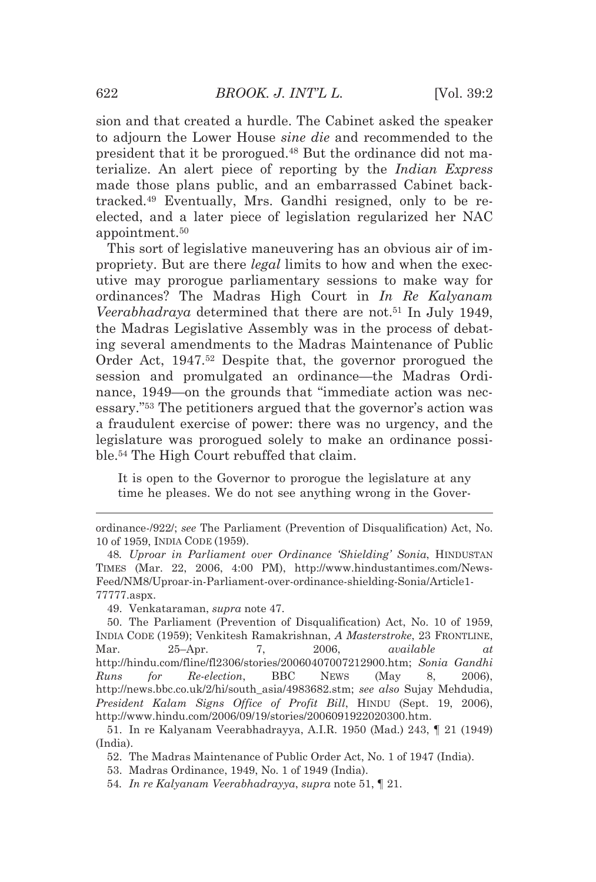sion and that created a hurdle. The Cabinet asked the speaker to adjourn the Lower House *sine die* and recommended to the president that it be prorogued.48 But the ordinance did not materialize. An alert piece of reporting by the *Indian Express* made those plans public, and an embarrassed Cabinet backtracked.49 Eventually, Mrs. Gandhi resigned, only to be reelected, and a later piece of legislation regularized her NAC appointment.50

This sort of legislative maneuvering has an obvious air of impropriety. But are there *legal* limits to how and when the executive may prorogue parliamentary sessions to make way for ordinances? The Madras High Court in *In Re Kalyanam Veerabhadraya* determined that there are not.<sup>51</sup> In July 1949, the Madras Legislative Assembly was in the process of debating several amendments to the Madras Maintenance of Public Order Act, 1947.52 Despite that, the governor prorogued the session and promulgated an ordinance—the Madras Ordinance, 1949—on the grounds that "immediate action was necessary."53 The petitioners argued that the governor's action was a fraudulent exercise of power: there was no urgency, and the legislature was prorogued solely to make an ordinance possible.54 The High Court rebuffed that claim.

It is open to the Governor to prorogue the legislature at any time he pleases. We do not see anything wrong in the Gover-

49. Venkataraman, *supra* note 47.

53. Madras Ordinance, 1949, No. 1 of 1949 (India).

<sup>&</sup>lt;u> 1989 - Johann Barn, mars eta bat erroman erroman erroman erroman erroman erroman erroman erroman erroman err</u> ordinance-/922/; *see* The Parliament (Prevention of Disqualification) Act, No. 10 of 1959, INDIA CODE (1959).

<sup>48</sup>*. Uproar in Parliament over Ordinance 'Shielding' Sonia*, HINDUSTAN TIMES (Mar. 22, 2006, 4:00 PM), http://www.hindustantimes.com/News-Feed/NM8/Uproar-in-Parliament-over-ordinance-shielding-Sonia/Article1- 77777.aspx.

 <sup>50.</sup> The Parliament (Prevention of Disqualification) Act, No. 10 of 1959, INDIA CODE (1959); Venkitesh Ramakrishnan, *A Masterstroke*, 23 FRONTLINE, Mar. 25–Apr. 7, 2006, *available at* http://hindu.com/fline/fl2306/stories/20060407007212900.htm; *Sonia Gandhi Runs for Re-election*, BBC NEWS (May 8, 2006), http://news.bbc.co.uk/2/hi/south\_asia/4983682.stm; *see also* Sujay Mehdudia, *President Kalam Signs Office of Profit Bill*, HINDU (Sept. 19, 2006), http://www.hindu.com/2006/09/19/stories/2006091922020300.htm.

 <sup>51.</sup> In re Kalyanam Veerabhadrayya, A.I.R. 1950 (Mad.) 243, ¶ 21 (1949) (India).

 <sup>52.</sup> The Madras Maintenance of Public Order Act, No. 1 of 1947 (India).

<sup>54</sup>*. In re Kalyanam Veerabhadrayya*, *supra* note 51, ¶ 21.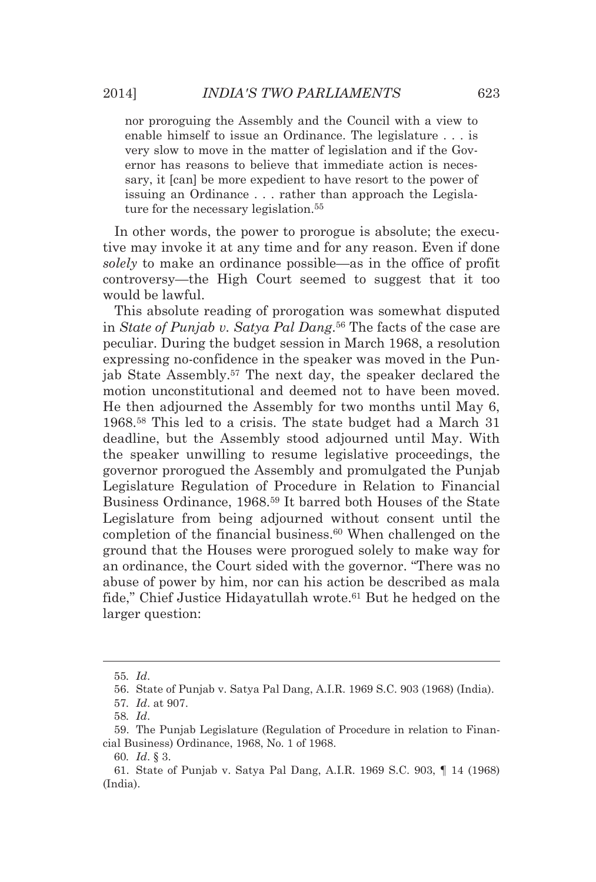nor proroguing the Assembly and the Council with a view to enable himself to issue an Ordinance. The legislature . . . is very slow to move in the matter of legislation and if the Governor has reasons to believe that immediate action is necessary, it [can] be more expedient to have resort to the power of issuing an Ordinance . . . rather than approach the Legislature for the necessary legislation.<sup>55</sup>

In other words, the power to prorogue is absolute; the executive may invoke it at any time and for any reason. Even if done *solely* to make an ordinance possible—as in the office of profit controversy—the High Court seemed to suggest that it too would be lawful.

This absolute reading of prorogation was somewhat disputed in *State of Punjab v. Satya Pal Dang*.56 The facts of the case are peculiar. During the budget session in March 1968, a resolution expressing no-confidence in the speaker was moved in the Punjab State Assembly.57 The next day, the speaker declared the motion unconstitutional and deemed not to have been moved. He then adjourned the Assembly for two months until May 6, 1968.58 This led to a crisis. The state budget had a March 31 deadline, but the Assembly stood adjourned until May. With the speaker unwilling to resume legislative proceedings, the governor prorogued the Assembly and promulgated the Punjab Legislature Regulation of Procedure in Relation to Financial Business Ordinance, 1968.59 It barred both Houses of the State Legislature from being adjourned without consent until the completion of the financial business.60 When challenged on the ground that the Houses were prorogued solely to make way for an ordinance, the Court sided with the governor. "There was no abuse of power by him, nor can his action be described as mala fide," Chief Justice Hidayatullah wrote.<sup>61</sup> But he hedged on the larger question:

<u> Alexandria de la contrada de la contrada de la contrada de la contrada de la contrada de la contrada de la c</u>

<sup>55</sup>*. Id*.

 <sup>56.</sup> State of Punjab v. Satya Pal Dang, A.I.R. 1969 S.C. 903 (1968) (India).

<sup>57</sup>*. Id*. at 907.

<sup>58</sup>*. Id*.

 <sup>59.</sup> The Punjab Legislature (Regulation of Procedure in relation to Financial Business) Ordinance, 1968, No. 1 of 1968.

<sup>60</sup>*. Id*. § 3.

 <sup>61.</sup> State of Punjab v. Satya Pal Dang, A.I.R. 1969 S.C. 903, ¶ 14 (1968) (India).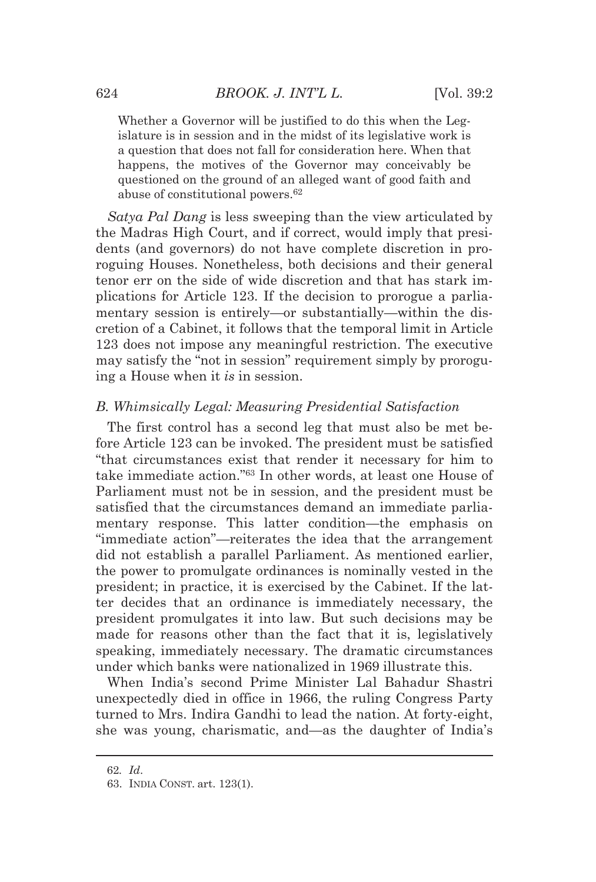Whether a Governor will be justified to do this when the Legislature is in session and in the midst of its legislative work is a question that does not fall for consideration here. When that happens, the motives of the Governor may conceivably be questioned on the ground of an alleged want of good faith and abuse of constitutional powers.62

*Satya Pal Dang* is less sweeping than the view articulated by the Madras High Court, and if correct, would imply that presidents (and governors) do not have complete discretion in proroguing Houses. Nonetheless, both decisions and their general tenor err on the side of wide discretion and that has stark implications for Article 123. If the decision to prorogue a parliamentary session is entirely—or substantially—within the discretion of a Cabinet, it follows that the temporal limit in Article 123 does not impose any meaningful restriction. The executive may satisfy the "not in session" requirement simply by proroguing a House when it *is* in session.

# *B. Whimsically Legal: Measuring Presidential Satisfaction*

The first control has a second leg that must also be met before Article 123 can be invoked. The president must be satisfied "that circumstances exist that render it necessary for him to take immediate action."63 In other words, at least one House of Parliament must not be in session, and the president must be satisfied that the circumstances demand an immediate parliamentary response. This latter condition—the emphasis on "immediate action"—reiterates the idea that the arrangement did not establish a parallel Parliament. As mentioned earlier, the power to promulgate ordinances is nominally vested in the president; in practice, it is exercised by the Cabinet. If the latter decides that an ordinance is immediately necessary, the president promulgates it into law. But such decisions may be made for reasons other than the fact that it is, legislatively speaking, immediately necessary. The dramatic circumstances under which banks were nationalized in 1969 illustrate this.

When India's second Prime Minister Lal Bahadur Shastri unexpectedly died in office in 1966, the ruling Congress Party turned to Mrs. Indira Gandhi to lead the nation. At forty-eight, she was young, charismatic, and—as the daughter of India's

<u> 1989 - Johann Barn, mars eta bat erroman erroman erroman erroman erroman erroman erroman erroman erroman err</u>

<sup>62</sup>*. Id*.

 <sup>63.</sup> INDIA CONST. art. 123(1).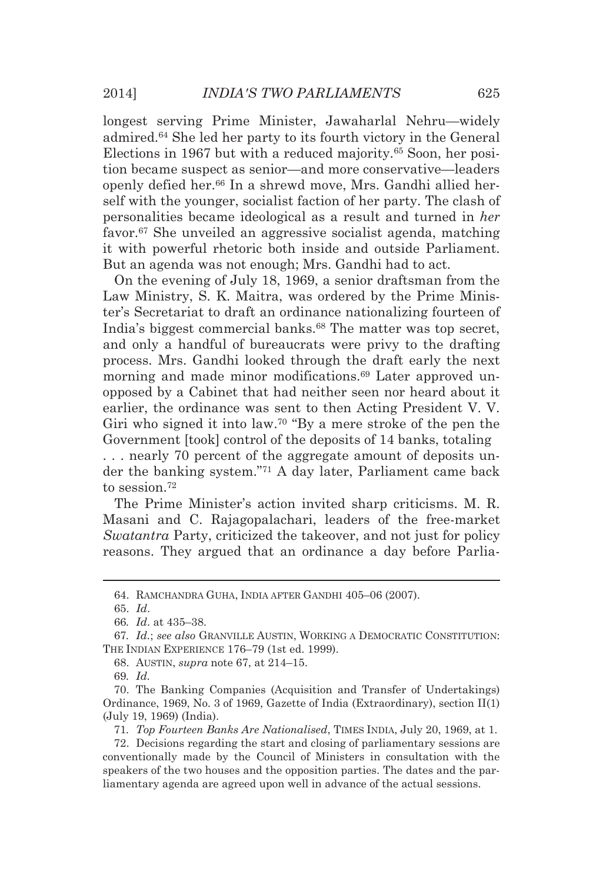longest serving Prime Minister, Jawaharlal Nehru—widely admired.64 She led her party to its fourth victory in the General Elections in 1967 but with a reduced majority.65 Soon, her position became suspect as senior—and more conservative—leaders openly defied her.66 In a shrewd move, Mrs. Gandhi allied herself with the younger, socialist faction of her party. The clash of personalities became ideological as a result and turned in *her* favor.67 She unveiled an aggressive socialist agenda, matching it with powerful rhetoric both inside and outside Parliament. But an agenda was not enough; Mrs. Gandhi had to act.

On the evening of July 18, 1969, a senior draftsman from the Law Ministry, S. K. Maitra, was ordered by the Prime Minister's Secretariat to draft an ordinance nationalizing fourteen of India's biggest commercial banks.<sup>68</sup> The matter was top secret, and only a handful of bureaucrats were privy to the drafting process. Mrs. Gandhi looked through the draft early the next morning and made minor modifications.<sup>69</sup> Later approved unopposed by a Cabinet that had neither seen nor heard about it earlier, the ordinance was sent to then Acting President V. V. Giri who signed it into law.<sup>70</sup> "By a mere stroke of the pen the Government [took] control of the deposits of 14 banks, totaling . . . nearly 70 percent of the aggregate amount of deposits under the banking system."71 A day later, Parliament came back

to session.72

The Prime Minister's action invited sharp criticisms. M. R. Masani and C. Rajagopalachari, leaders of the free-market *Swatantra* Party, criticized the takeover, and not just for policy reasons. They argued that an ordinance a day before Parlia-

<u> Alexandria de la contrada de la contrada de la contrada de la contrada de la contrada de la contrada de la c</u>

 <sup>64.</sup> RAMCHANDRA GUHA, INDIA AFTER GANDHI 405–06 (2007).

 <sup>65.</sup> *Id*.

<sup>66</sup>*. Id*. at 435–38.

<sup>67</sup>*. Id.*; *see also* GRANVILLE AUSTIN, WORKING A DEMOCRATIC CONSTITUTION: THE INDIAN EXPERIENCE 176–79 (1st ed. 1999).

 <sup>68.</sup> AUSTIN, *supra* note 67, at 214–15.

<sup>69</sup>*. Id.* 

 <sup>70.</sup> The Banking Companies (Acquisition and Transfer of Undertakings) Ordinance, 1969, No. 3 of 1969, Gazette of India (Extraordinary), section II(1) (July 19, 1969) (India).

<sup>71</sup>*. Top Fourteen Banks Are Nationalised*, TIMES INDIA, July 20, 1969, at 1.

 <sup>72.</sup> Decisions regarding the start and closing of parliamentary sessions are conventionally made by the Council of Ministers in consultation with the speakers of the two houses and the opposition parties. The dates and the parliamentary agenda are agreed upon well in advance of the actual sessions.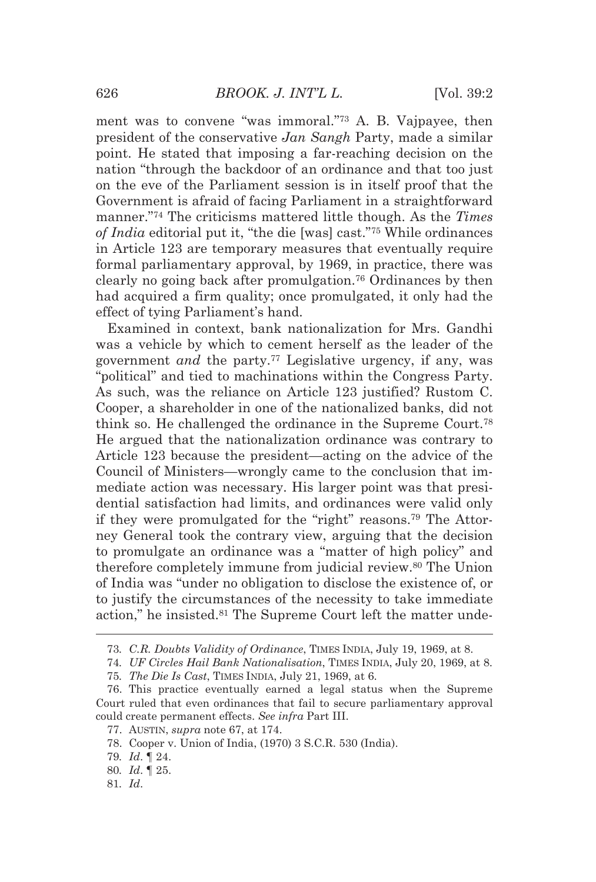ment was to convene "was immoral."73 A. B. Vajpayee, then president of the conservative *Jan Sangh* Party, made a similar point. He stated that imposing a far-reaching decision on the nation "through the backdoor of an ordinance and that too just on the eve of the Parliament session is in itself proof that the Government is afraid of facing Parliament in a straightforward manner."74 The criticisms mattered little though. As the *Times of India* editorial put it, "the die [was] cast."75 While ordinances in Article 123 are temporary measures that eventually require formal parliamentary approval, by 1969, in practice, there was clearly no going back after promulgation.76 Ordinances by then had acquired a firm quality; once promulgated, it only had the effect of tying Parliament's hand.

Examined in context, bank nationalization for Mrs. Gandhi was a vehicle by which to cement herself as the leader of the government *and* the party.77 Legislative urgency, if any, was "political" and tied to machinations within the Congress Party. As such, was the reliance on Article 123 justified? Rustom C. Cooper, a shareholder in one of the nationalized banks, did not think so. He challenged the ordinance in the Supreme Court.78 He argued that the nationalization ordinance was contrary to Article 123 because the president—acting on the advice of the Council of Ministers—wrongly came to the conclusion that immediate action was necessary. His larger point was that presidential satisfaction had limits, and ordinances were valid only if they were promulgated for the "right" reasons.79 The Attorney General took the contrary view, arguing that the decision to promulgate an ordinance was a "matter of high policy" and therefore completely immune from judicial review.80 The Union of India was "under no obligation to disclose the existence of, or to justify the circumstances of the necessity to take immediate action," he insisted.<sup>81</sup> The Supreme Court left the matter unde-

<sup>&</sup>lt;u> 1989 - Johann Barn, mars eta bat erroman erroman erroman erroman erroman erroman erroman erroman erroman err</u> 73*. C.R. Doubts Validity of Ordinance*, TIMES INDIA, July 19, 1969, at 8.

<sup>74</sup>*. UF Circles Hail Bank Nationalisation*, TIMES INDIA, July 20, 1969, at 8.

<sup>75</sup>*. The Die Is Cast*, TIMES INDIA, July 21, 1969, at 6.

 <sup>76.</sup> This practice eventually earned a legal status when the Supreme Court ruled that even ordinances that fail to secure parliamentary approval could create permanent effects. *See infra* Part III.

 <sup>77.</sup> AUSTIN, *supra* note 67, at 174.

 <sup>78.</sup> Cooper v. Union of India, (1970) 3 S.C.R. 530 (India).

<sup>79</sup>*. Id*. ¶ 24.

<sup>80</sup>*. Id*. ¶ 25.

<sup>81</sup>*. Id*.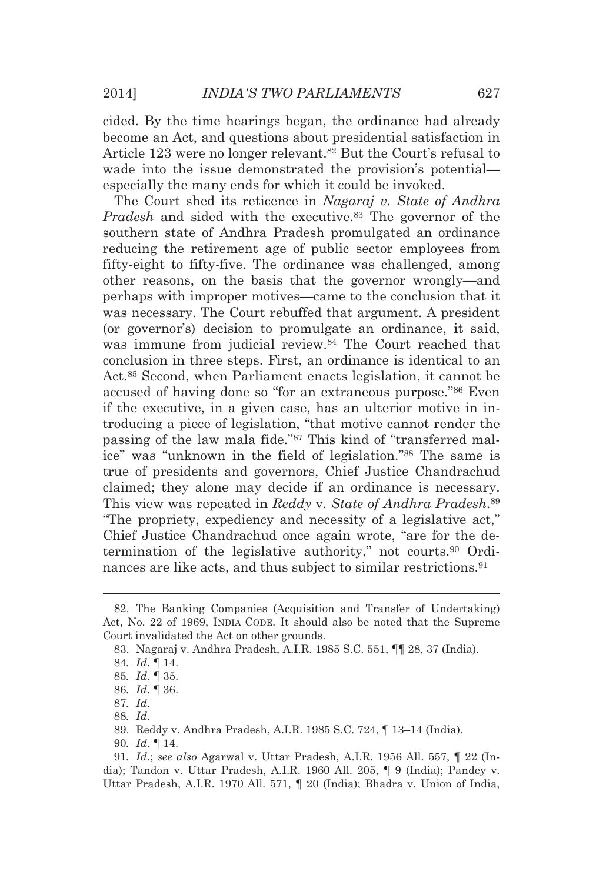cided. By the time hearings began, the ordinance had already become an Act, and questions about presidential satisfaction in Article 123 were no longer relevant.<sup>82</sup> But the Court's refusal to wade into the issue demonstrated the provision's potential especially the many ends for which it could be invoked.

The Court shed its reticence in *Nagaraj v. State of Andhra Pradesh* and sided with the executive.<sup>83</sup> The governor of the southern state of Andhra Pradesh promulgated an ordinance reducing the retirement age of public sector employees from fifty-eight to fifty-five. The ordinance was challenged, among other reasons, on the basis that the governor wrongly—and perhaps with improper motives—came to the conclusion that it was necessary. The Court rebuffed that argument. A president (or governor's) decision to promulgate an ordinance, it said, was immune from judicial review.<sup>84</sup> The Court reached that conclusion in three steps. First, an ordinance is identical to an Act.85 Second, when Parliament enacts legislation, it cannot be accused of having done so "for an extraneous purpose."86 Even if the executive, in a given case, has an ulterior motive in introducing a piece of legislation, "that motive cannot render the passing of the law mala fide."87 This kind of "transferred malice" was "unknown in the field of legislation."88 The same is true of presidents and governors, Chief Justice Chandrachud claimed; they alone may decide if an ordinance is necessary. This view was repeated in *Reddy* v. *State of Andhra Pradesh*.89 "The propriety, expediency and necessity of a legislative act," Chief Justice Chandrachud once again wrote, "are for the determination of the legislative authority," not courts.90 Ordinances are like acts, and thus subject to similar restrictions.91

<u> Andreas Andreas Andreas Andreas Andreas Andreas Andreas Andreas Andreas Andreas Andreas Andreas Andreas Andr</u>

 <sup>82.</sup> The Banking Companies (Acquisition and Transfer of Undertaking) Act, No. 22 of 1969, INDIA CODE. It should also be noted that the Supreme Court invalidated the Act on other grounds.

 <sup>83.</sup> Nagaraj v. Andhra Pradesh, A.I.R. 1985 S.C. 551, ¶¶ 28, 37 (India).

<sup>84</sup>*. Id*. ¶ 14.

<sup>85</sup>*. Id*. ¶ 35.

<sup>86</sup>*. Id*. ¶ 36.

<sup>87</sup>*. Id*.

<sup>88</sup>*. Id*.

 <sup>89.</sup> Reddy v. Andhra Pradesh, A.I.R. 1985 S.C. 724, ¶ 13–14 (India).

<sup>90</sup>*. Id*. ¶ 14.

<sup>91</sup>*. Id.*; *see also* Agarwal v. Uttar Pradesh, A.I.R. 1956 All. 557, ¶ 22 (India); Tandon v. Uttar Pradesh, A.I.R. 1960 All. 205, ¶ 9 (India); Pandey v. Uttar Pradesh, A.I.R. 1970 All. 571, ¶ 20 (India); Bhadra v. Union of India,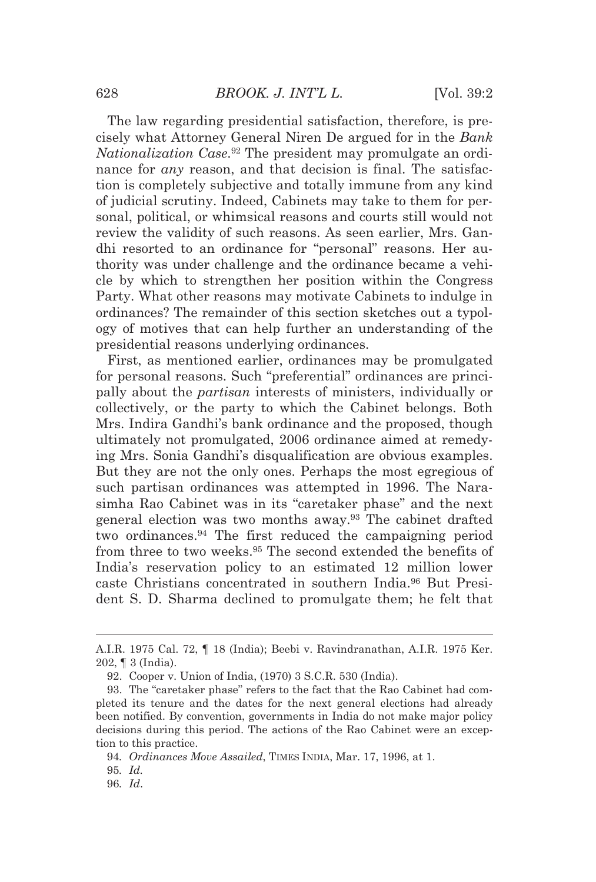The law regarding presidential satisfaction, therefore, is precisely what Attorney General Niren De argued for in the *Bank Nationalization Case*.92 The president may promulgate an ordinance for *any* reason, and that decision is final. The satisfaction is completely subjective and totally immune from any kind of judicial scrutiny. Indeed, Cabinets may take to them for personal, political, or whimsical reasons and courts still would not review the validity of such reasons. As seen earlier, Mrs. Gandhi resorted to an ordinance for "personal" reasons. Her authority was under challenge and the ordinance became a vehicle by which to strengthen her position within the Congress Party. What other reasons may motivate Cabinets to indulge in ordinances? The remainder of this section sketches out a typology of motives that can help further an understanding of the presidential reasons underlying ordinances.

First, as mentioned earlier, ordinances may be promulgated for personal reasons. Such "preferential" ordinances are principally about the *partisan* interests of ministers, individually or collectively, or the party to which the Cabinet belongs. Both Mrs. Indira Gandhi's bank ordinance and the proposed, though ultimately not promulgated, 2006 ordinance aimed at remedying Mrs. Sonia Gandhi's disqualification are obvious examples. But they are not the only ones. Perhaps the most egregious of such partisan ordinances was attempted in 1996. The Narasimha Rao Cabinet was in its "caretaker phase" and the next general election was two months away.93 The cabinet drafted two ordinances.94 The first reduced the campaigning period from three to two weeks.95 The second extended the benefits of India's reservation policy to an estimated 12 million lower caste Christians concentrated in southern India.96 But President S. D. Sharma declined to promulgate them; he felt that

<sup>&</sup>lt;u> 1989 - Johann Barn, mars eta bat erroman erroman erroman erroman erroman erroman erroman erroman erroman err</u> A.I.R. 1975 Cal. 72, ¶ 18 (India); Beebi v. Ravindranathan, A.I.R. 1975 Ker. 202, ¶ 3 (India).

 <sup>92.</sup> Cooper v. Union of India, (1970) 3 S.C.R. 530 (India).

 <sup>93.</sup> The "caretaker phase" refers to the fact that the Rao Cabinet had completed its tenure and the dates for the next general elections had already been notified. By convention, governments in India do not make major policy decisions during this period. The actions of the Rao Cabinet were an exception to this practice.

<sup>94</sup>*. Ordinances Move Assailed*, TIMES INDIA, Mar. 17, 1996, at 1.

<sup>95</sup>*. Id.*

<sup>96</sup>*. Id*.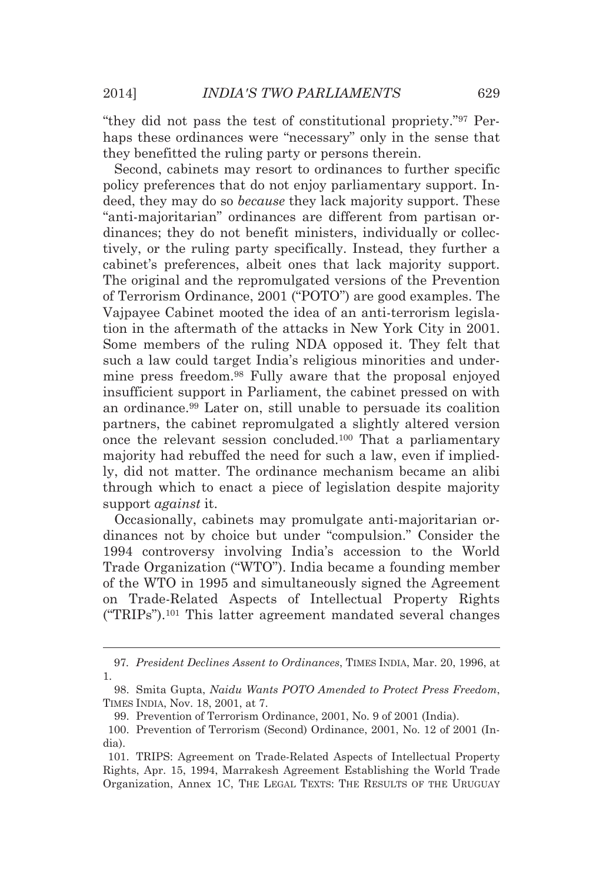"they did not pass the test of constitutional propriety."97 Perhaps these ordinances were "necessary" only in the sense that they benefitted the ruling party or persons therein.

Second, cabinets may resort to ordinances to further specific policy preferences that do not enjoy parliamentary support. Indeed, they may do so *because* they lack majority support. These "anti-majoritarian" ordinances are different from partisan ordinances; they do not benefit ministers, individually or collectively, or the ruling party specifically. Instead, they further a cabinet's preferences, albeit ones that lack majority support. The original and the repromulgated versions of the Prevention of Terrorism Ordinance, 2001 ("POTO") are good examples. The Vajpayee Cabinet mooted the idea of an anti-terrorism legislation in the aftermath of the attacks in New York City in 2001. Some members of the ruling NDA opposed it. They felt that such a law could target India's religious minorities and undermine press freedom.98 Fully aware that the proposal enjoyed insufficient support in Parliament, the cabinet pressed on with an ordinance.99 Later on, still unable to persuade its coalition partners, the cabinet repromulgated a slightly altered version once the relevant session concluded.100 That a parliamentary majority had rebuffed the need for such a law, even if impliedly, did not matter. The ordinance mechanism became an alibi through which to enact a piece of legislation despite majority support *against* it.

Occasionally, cabinets may promulgate anti-majoritarian ordinances not by choice but under "compulsion." Consider the 1994 controversy involving India's accession to the World Trade Organization ("WTO"). India became a founding member of the WTO in 1995 and simultaneously signed the Agreement on Trade-Related Aspects of Intellectual Property Rights ("TRIPs").101 This latter agreement mandated several changes

<sup>&</sup>lt;u> Andreas Andreas Andreas Andreas Andreas Andreas Andreas Andreas Andreas Andreas Andreas Andreas Andreas Andr</u> 97*. President Declines Assent to Ordinances*, TIMES INDIA, Mar. 20, 1996, at 1.

 <sup>98.</sup> Smita Gupta, *Naidu Wants POTO Amended to Protect Press Freedom*, TIMES INDIA, Nov. 18, 2001, at 7.

 <sup>99.</sup> Prevention of Terrorism Ordinance, 2001, No. 9 of 2001 (India).

 <sup>100.</sup> Prevention of Terrorism (Second) Ordinance, 2001, No. 12 of 2001 (India).

 <sup>101.</sup> TRIPS: Agreement on Trade-Related Aspects of Intellectual Property Rights, Apr. 15, 1994, Marrakesh Agreement Establishing the World Trade Organization, Annex 1C, THE LEGAL TEXTS: THE RESULTS OF THE URUGUAY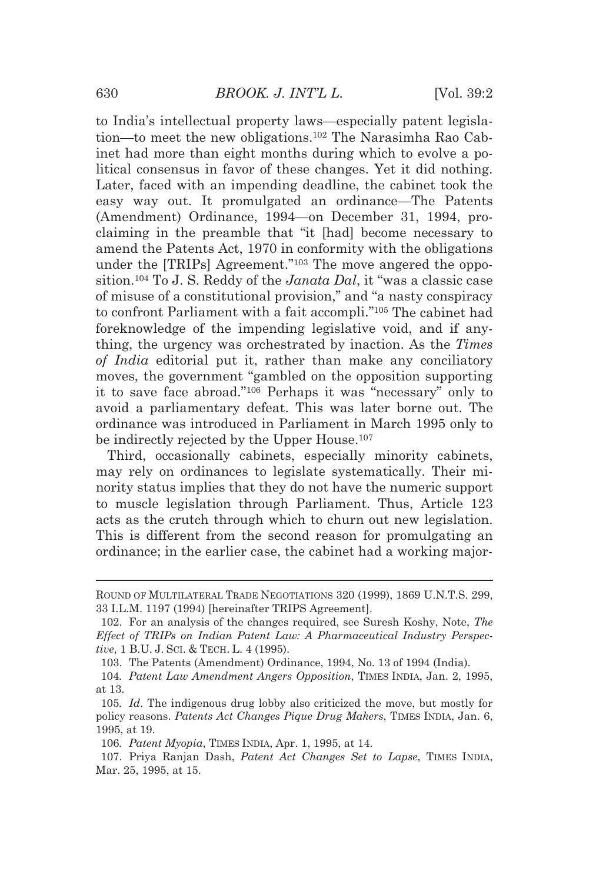to India's intellectual property laws—especially patent legislation—to meet the new obligations.102 The Narasimha Rao Cabinet had more than eight months during which to evolve a political consensus in favor of these changes. Yet it did nothing. Later, faced with an impending deadline, the cabinet took the easy way out. It promulgated an ordinance—The Patents (Amendment) Ordinance, 1994—on December 31, 1994, proclaiming in the preamble that "it [had] become necessary to amend the Patents Act, 1970 in conformity with the obligations under the [TRIPs] Agreement."103 The move angered the opposition.104 To J. S. Reddy of the *Janata Dal*, it "was a classic case of misuse of a constitutional provision," and "a nasty conspiracy to confront Parliament with a fait accompli."105 The cabinet had foreknowledge of the impending legislative void, and if anything, the urgency was orchestrated by inaction. As the *Times of India* editorial put it, rather than make any conciliatory moves, the government "gambled on the opposition supporting it to save face abroad."106 Perhaps it was "necessary" only to avoid a parliamentary defeat. This was later borne out. The ordinance was introduced in Parliament in March 1995 only to be indirectly rejected by the Upper House.<sup>107</sup>

Third, occasionally cabinets, especially minority cabinets, may rely on ordinances to legislate systematically. Their minority status implies that they do not have the numeric support to muscle legislation through Parliament. Thus, Article 123 acts as the crutch through which to churn out new legislation. This is different from the second reason for promulgating an ordinance; in the earlier case, the cabinet had a working major-

<sup>&</sup>lt;u> 1989 - Johann Stein, marwolaethau a bhannaich an t-Amhair an t-Amhair an t-Amhair an t-Amhair an t-Amhair an</u> ROUND OF MULTILATERAL TRADE NEGOTIATIONS 320 (1999), 1869 U.N.T.S. 299, 33 I.L.M. 1197 (1994) [hereinafter TRIPS Agreement].

 <sup>102.</sup> For an analysis of the changes required, see Suresh Koshy, Note, *The Effect of TRIPs on Indian Patent Law: A Pharmaceutical Industry Perspective*, 1 B.U. J. SCI. & TECH. L. 4 (1995).

 <sup>103.</sup> The Patents (Amendment) Ordinance, 1994, No. 13 of 1994 (India).

<sup>104</sup>*. Patent Law Amendment Angers Opposition*, TIMES INDIA, Jan. 2, 1995, at 13.

<sup>105</sup>*. Id*. The indigenous drug lobby also criticized the move, but mostly for policy reasons. *Patents Act Changes Pique Drug Makers*, TIMES INDIA, Jan. 6, 1995, at 19.

<sup>106</sup>*. Patent Myopia*, TIMES INDIA, Apr. 1, 1995, at 14.

 <sup>107.</sup> Priya Ranjan Dash, *Patent Act Changes Set to Lapse*, TIMES INDIA, Mar. 25, 1995, at 15.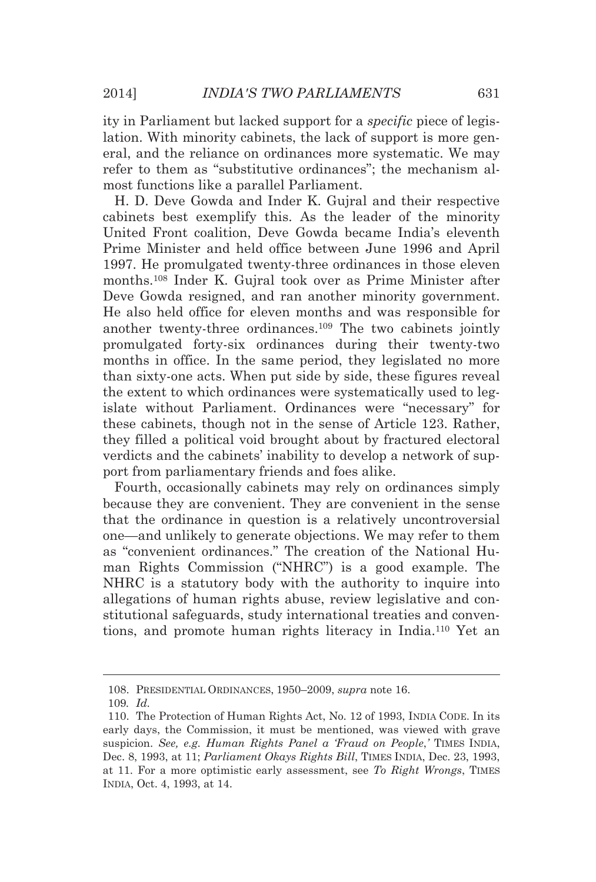ity in Parliament but lacked support for a *specific* piece of legislation. With minority cabinets, the lack of support is more general, and the reliance on ordinances more systematic. We may refer to them as "substitutive ordinances"; the mechanism almost functions like a parallel Parliament.

H. D. Deve Gowda and Inder K. Gujral and their respective cabinets best exemplify this. As the leader of the minority United Front coalition, Deve Gowda became India's eleventh Prime Minister and held office between June 1996 and April 1997. He promulgated twenty-three ordinances in those eleven months.108 Inder K. Gujral took over as Prime Minister after Deve Gowda resigned, and ran another minority government. He also held office for eleven months and was responsible for another twenty-three ordinances.109 The two cabinets jointly promulgated forty-six ordinances during their twenty-two months in office. In the same period, they legislated no more than sixty-one acts. When put side by side, these figures reveal the extent to which ordinances were systematically used to legislate without Parliament. Ordinances were "necessary" for these cabinets, though not in the sense of Article 123. Rather, they filled a political void brought about by fractured electoral verdicts and the cabinets' inability to develop a network of support from parliamentary friends and foes alike.

Fourth, occasionally cabinets may rely on ordinances simply because they are convenient. They are convenient in the sense that the ordinance in question is a relatively uncontroversial one—and unlikely to generate objections. We may refer to them as "convenient ordinances." The creation of the National Human Rights Commission ("NHRC") is a good example. The NHRC is a statutory body with the authority to inquire into allegations of human rights abuse, review legislative and constitutional safeguards, study international treaties and conventions, and promote human rights literacy in India.110 Yet an

<u> Andreas Andreas Andreas Andreas Andreas Andreas Andreas Andreas Andreas Andreas Andreas Andreas Andreas Andr</u>

 <sup>108.</sup> PRESIDENTIAL ORDINANCES, 1950–2009, *supra* note 16.

<sup>109</sup>*. Id.*

 <sup>110.</sup> The Protection of Human Rights Act, No. 12 of 1993, INDIA CODE. In its early days, the Commission, it must be mentioned, was viewed with grave suspicion. *See, e.g. Human Rights Panel a 'Fraud on People*,*'* TIMES INDIA, Dec. 8, 1993, at 11; *Parliament Okays Rights Bill*, TIMES INDIA, Dec. 23, 1993, at 11. For a more optimistic early assessment, see *To Right Wrongs*, TIMES INDIA, Oct. 4, 1993, at 14.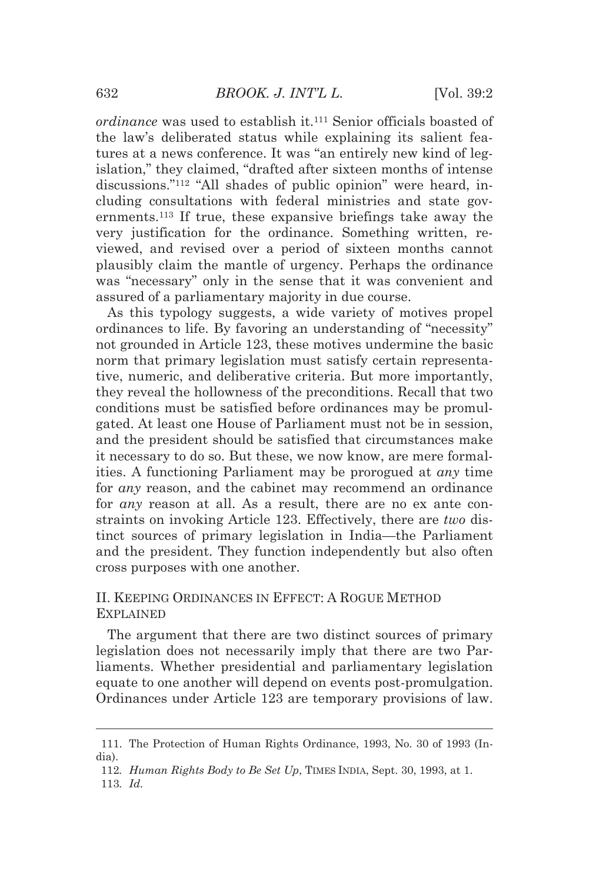*ordinance* was used to establish it.<sup>111</sup> Senior officials boasted of the law's deliberated status while explaining its salient features at a news conference. It was "an entirely new kind of legislation," they claimed, "drafted after sixteen months of intense discussions."112 "All shades of public opinion" were heard, including consultations with federal ministries and state governments.113 If true, these expansive briefings take away the very justification for the ordinance. Something written, reviewed, and revised over a period of sixteen months cannot plausibly claim the mantle of urgency. Perhaps the ordinance was "necessary" only in the sense that it was convenient and assured of a parliamentary majority in due course.

As this typology suggests, a wide variety of motives propel ordinances to life. By favoring an understanding of "necessity" not grounded in Article 123, these motives undermine the basic norm that primary legislation must satisfy certain representative, numeric, and deliberative criteria. But more importantly, they reveal the hollowness of the preconditions. Recall that two conditions must be satisfied before ordinances may be promulgated. At least one House of Parliament must not be in session, and the president should be satisfied that circumstances make it necessary to do so. But these, we now know, are mere formalities. A functioning Parliament may be prorogued at *any* time for *any* reason, and the cabinet may recommend an ordinance for *any* reason at all. As a result, there are no ex ante constraints on invoking Article 123. Effectively, there are *two* distinct sources of primary legislation in India—the Parliament and the president. They function independently but also often cross purposes with one another.

# II. KEEPING ORDINANCES IN EFFECT: A ROGUE METHOD EXPLAINED

The argument that there are two distinct sources of primary legislation does not necessarily imply that there are two Parliaments. Whether presidential and parliamentary legislation equate to one another will depend on events post-promulgation. Ordinances under Article 123 are temporary provisions of law.

<sup>&</sup>lt;u> Alexandria de la contrada de la contrada de la contrada de la contrada de la contrada de la contrada de la c</u> 111. The Protection of Human Rights Ordinance, 1993, No. 30 of 1993 (India).

<sup>112</sup>*. Human Rights Body to Be Set Up*, TIMES INDIA, Sept. 30, 1993, at 1.

<sup>113</sup>*. Id.*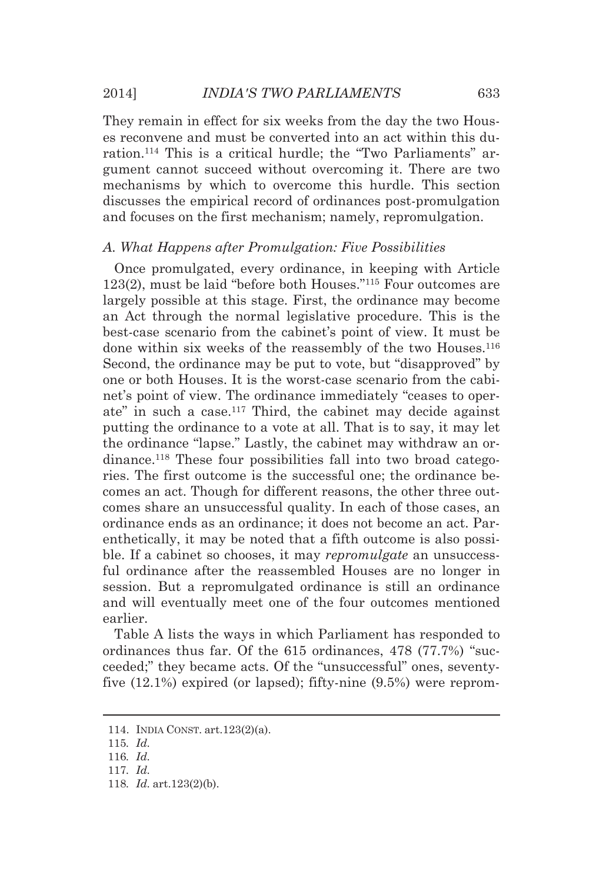They remain in effect for six weeks from the day the two Houses reconvene and must be converted into an act within this duration.114 This is a critical hurdle; the "Two Parliaments" argument cannot succeed without overcoming it. There are two mechanisms by which to overcome this hurdle. This section discusses the empirical record of ordinances post-promulgation and focuses on the first mechanism; namely, repromulgation.

#### *A. What Happens after Promulgation: Five Possibilities*

Once promulgated, every ordinance, in keeping with Article 123(2), must be laid "before both Houses."115 Four outcomes are largely possible at this stage. First, the ordinance may become an Act through the normal legislative procedure. This is the best-case scenario from the cabinet's point of view. It must be done within six weeks of the reassembly of the two Houses.<sup>116</sup> Second, the ordinance may be put to vote, but "disapproved" by one or both Houses. It is the worst-case scenario from the cabinet's point of view. The ordinance immediately "ceases to operate" in such a case.117 Third, the cabinet may decide against putting the ordinance to a vote at all. That is to say, it may let the ordinance "lapse." Lastly, the cabinet may withdraw an ordinance.118 These four possibilities fall into two broad categories. The first outcome is the successful one; the ordinance becomes an act. Though for different reasons, the other three outcomes share an unsuccessful quality. In each of those cases, an ordinance ends as an ordinance; it does not become an act. Parenthetically, it may be noted that a fifth outcome is also possible. If a cabinet so chooses, it may *repromulgate* an unsuccessful ordinance after the reassembled Houses are no longer in session. But a repromulgated ordinance is still an ordinance and will eventually meet one of the four outcomes mentioned earlier.

Table A lists the ways in which Parliament has responded to ordinances thus far. Of the 615 ordinances, 478 (77.7%) "succeeded;" they became acts. Of the "unsuccessful" ones, seventyfive (12.1%) expired (or lapsed); fifty-nine (9.5%) were reprom-

<u> Andreas Andreas Andreas Andreas Andreas Andreas Andreas Andreas Andreas Andreas Andreas Andreas Andreas Andr</u>

 <sup>114.</sup> INDIA CONST. art.123(2)(a).

<sup>115</sup>*. Id.*

<sup>116</sup>*. Id.*

<sup>117</sup>*. Id.*

<sup>118</sup>*. Id.* art.123(2)(b).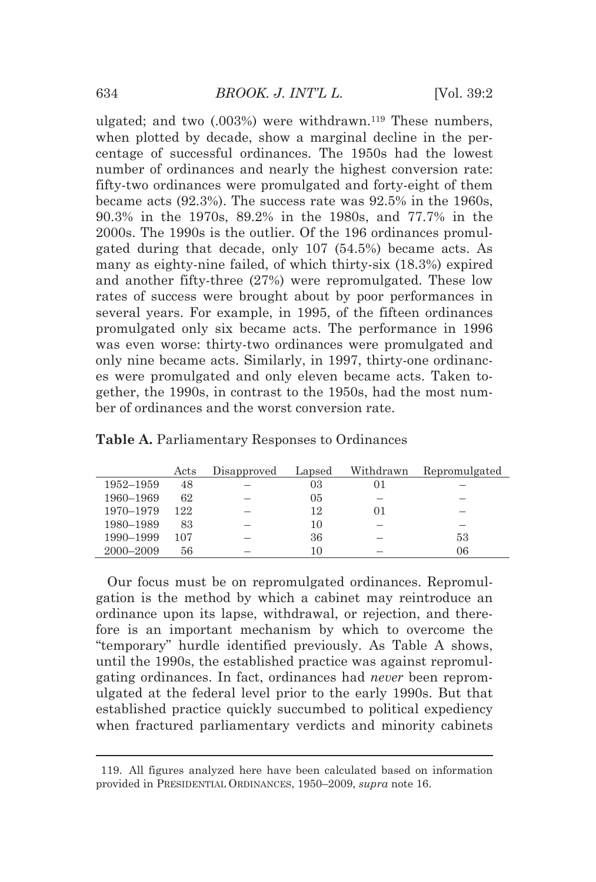ulgated; and two (.003%) were withdrawn.119 These numbers, when plotted by decade, show a marginal decline in the percentage of successful ordinances. The 1950s had the lowest number of ordinances and nearly the highest conversion rate: fifty-two ordinances were promulgated and forty-eight of them became acts (92.3%). The success rate was 92.5% in the 1960s, 90.3% in the 1970s, 89.2% in the 1980s, and 77.7% in the 2000s. The 1990s is the outlier. Of the 196 ordinances promulgated during that decade, only 107 (54.5%) became acts. As many as eighty-nine failed, of which thirty-six (18.3%) expired and another fifty-three (27%) were repromulgated. These low rates of success were brought about by poor performances in several years. For example, in 1995, of the fifteen ordinances promulgated only six became acts. The performance in 1996 was even worse: thirty-two ordinances were promulgated and only nine became acts. Similarly, in 1997, thirty-one ordinances were promulgated and only eleven became acts. Taken together, the 1990s, in contrast to the 1950s, had the most number of ordinances and the worst conversion rate.

|           | Acts | Disapproved | Lapsed         | Withdrawn | Repromulgated |
|-----------|------|-------------|----------------|-----------|---------------|
| 1952–1959 | 48   |             | 03             |           |               |
| 1960–1969 | 62   |             | 0 <sub>5</sub> |           |               |
| 1970–1979 | 122  |             | 12             |           |               |
| 1980-1989 | 83   |             | 10             |           |               |
| 1990–1999 | 107  |             | 36             |           | 53            |
| 2000–2009 | 56   |             | 10             |           | 06            |

| Table A. Parliamentary Responses to Ordinances |  |  |  |
|------------------------------------------------|--|--|--|
|------------------------------------------------|--|--|--|

Our focus must be on repromulgated ordinances. Repromulgation is the method by which a cabinet may reintroduce an ordinance upon its lapse, withdrawal, or rejection, and therefore is an important mechanism by which to overcome the "temporary" hurdle identified previously. As Table A shows, until the 1990s, the established practice was against repromulgating ordinances. In fact, ordinances had *never* been repromulgated at the federal level prior to the early 1990s. But that established practice quickly succumbed to political expediency when fractured parliamentary verdicts and minority cabinets

<sup>&</sup>lt;u> 1989 - Johann Barn, mars eta bat erroman erroman erroman erroman erroman erroman erroman erroman erroman err</u> 119. All figures analyzed here have been calculated based on information provided in PRESIDENTIAL ORDINANCES, 1950–2009, *supra* note 16.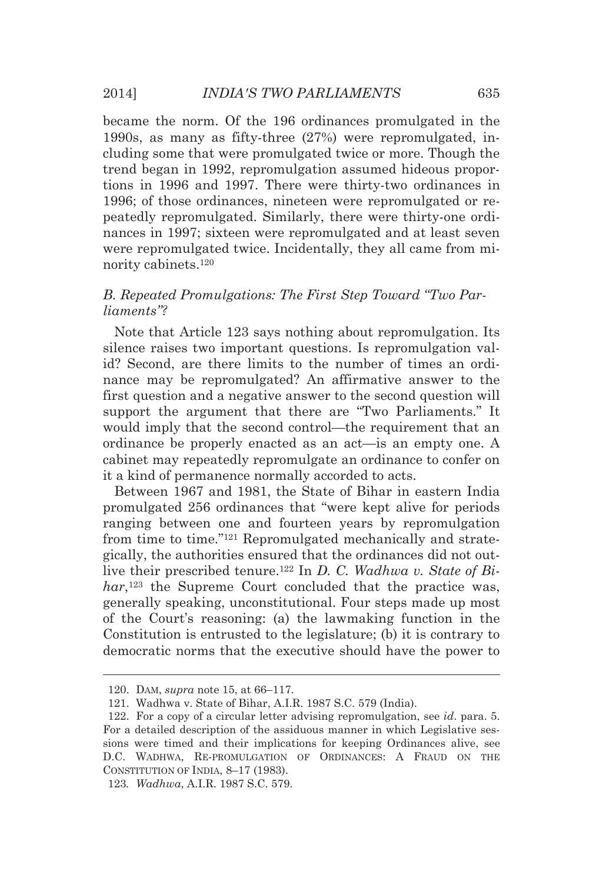became the norm. Of the 196 ordinances promulgated in the 1990s, as many as fifty-three (27%) were repromulgated, including some that were promulgated twice or more. Though the trend began in 1992, repromulgation assumed hideous proportions in 1996 and 1997. There were thirty-two ordinances in 1996; of those ordinances, nineteen were repromulgated or repeatedly repromulgated. Similarly, there were thirty-one ordinances in 1997; sixteen were repromulgated and at least seven were repromulgated twice. Incidentally, they all came from minority cabinets.120

# *B. Repeated Promulgations: The First Step Toward "Two Parliaments"?*

Note that Article 123 says nothing about repromulgation. Its silence raises two important questions. Is repromulgation valid? Second, are there limits to the number of times an ordinance may be repromulgated? An affirmative answer to the first question and a negative answer to the second question will support the argument that there are "Two Parliaments." It would imply that the second control—the requirement that an ordinance be properly enacted as an act—is an empty one. A cabinet may repeatedly repromulgate an ordinance to confer on it a kind of permanence normally accorded to acts.

Between 1967 and 1981, the State of Bihar in eastern India promulgated 256 ordinances that "were kept alive for periods ranging between one and fourteen years by repromulgation from time to time."121 Repromulgated mechanically and strategically, the authorities ensured that the ordinances did not outlive their prescribed tenure.122 In *D. C. Wadhwa v. State of Bi*har,<sup>123</sup> the Supreme Court concluded that the practice was, generally speaking, unconstitutional. Four steps made up most of the Court's reasoning: (a) the lawmaking function in the Constitution is entrusted to the legislature; (b) it is contrary to democratic norms that the executive should have the power to

<u> Andreas Andreas Andreas Andreas Andreas Andreas Andreas Andreas Andreas Andreas Andreas Andreas Andreas Andr</u>

123*. Wadhwa*, A.I.R. 1987 S.C. 579.

 <sup>120.</sup> DAM, *supra* note 15, at 66–117.

 <sup>121.</sup> Wadhwa v. State of Bihar, A.I.R. 1987 S.C. 579 (India).

 <sup>122.</sup> For a copy of a circular letter advising repromulgation, see *id*. para. 5. For a detailed description of the assiduous manner in which Legislative sessions were timed and their implications for keeping Ordinances alive, see D.C. WADHWA, RE-PROMULGATION OF ORDINANCES: A FRAUD ON THE CONSTITUTION OF INDIA, 8–17 (1983).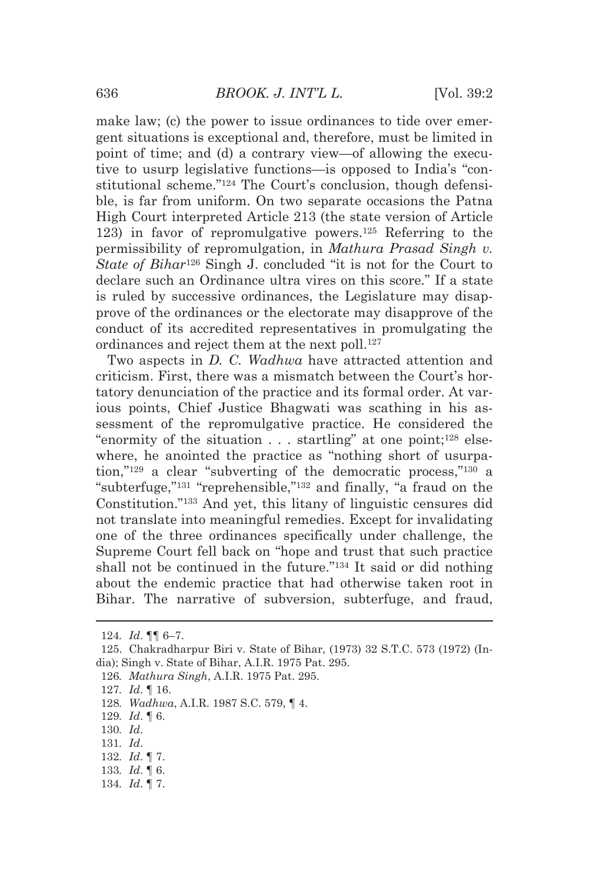make law; (c) the power to issue ordinances to tide over emergent situations is exceptional and, therefore, must be limited in point of time; and (d) a contrary view—of allowing the executive to usurp legislative functions—is opposed to India's "constitutional scheme."124 The Court's conclusion, though defensible, is far from uniform. On two separate occasions the Patna High Court interpreted Article 213 (the state version of Article 123) in favor of repromulgative powers.125 Referring to the permissibility of repromulgation, in *Mathura Prasad Singh v. State of Bihar*126 Singh J. concluded "it is not for the Court to declare such an Ordinance ultra vires on this score." If a state is ruled by successive ordinances, the Legislature may disapprove of the ordinances or the electorate may disapprove of the conduct of its accredited representatives in promulgating the ordinances and reject them at the next poll.<sup>127</sup>

Two aspects in *D. C. Wadhwa* have attracted attention and criticism. First, there was a mismatch between the Court's hortatory denunciation of the practice and its formal order. At various points, Chief Justice Bhagwati was scathing in his assessment of the repromulgative practice. He considered the "enormity of the situation . . . startling" at one point;<sup>128</sup> elsewhere, he anointed the practice as "nothing short of usurpation,"129 a clear "subverting of the democratic process,"130 a "subterfuge,"131 "reprehensible,"132 and finally, "a fraud on the Constitution."133 And yet, this litany of linguistic censures did not translate into meaningful remedies. Except for invalidating one of the three ordinances specifically under challenge, the Supreme Court fell back on "hope and trust that such practice shall not be continued in the future.<sup>"134</sup> It said or did nothing about the endemic practice that had otherwise taken root in Bihar. The narrative of subversion, subterfuge, and fraud,

<u> 1989 - Johann Stein, marwolaethau a bhannaich an t-Amhair an t-Amhair an t-Amhair an t-Amhair an t-Amhair an</u>

127*. Id*. ¶ 16.

128*. Wadhwa*, A.I.R. 1987 S.C. 579, ¶ 4.

130*. Id*.

- 131*. Id*.
- 132*. Id*. ¶ 7.
- 133*. Id*. ¶ 6.
- 134*. Id*. ¶ 7.

<sup>124</sup>*. Id*. ¶¶ 6–7.

 <sup>125.</sup> Chakradharpur Biri v. State of Bihar, (1973) 32 S.T.C. 573 (1972) (India); Singh v. State of Bihar, A.I.R. 1975 Pat. 295.

<sup>126</sup>*. Mathura Singh*, A.I.R. 1975 Pat. 295.

<sup>129</sup>*. Id*. ¶ 6.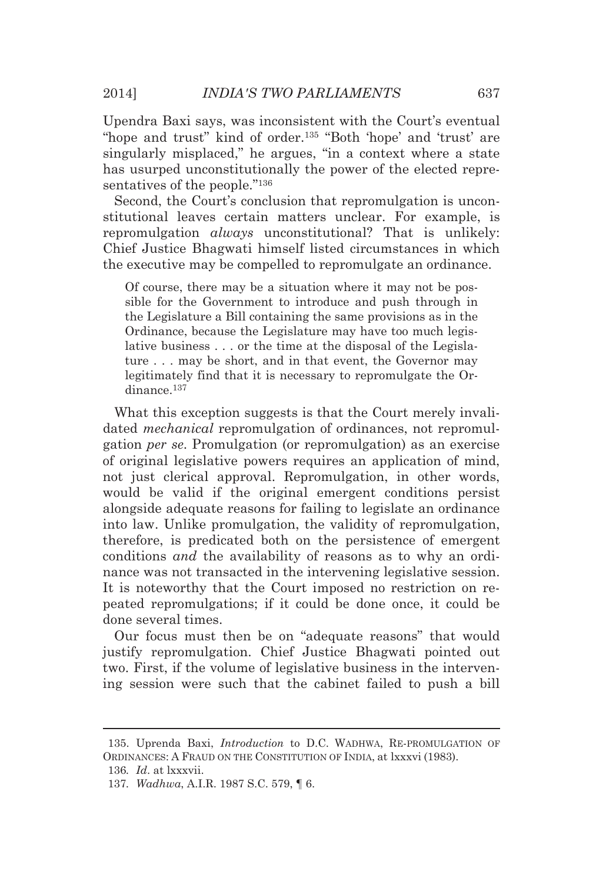Upendra Baxi says, was inconsistent with the Court's eventual "hope and trust" kind of order.135 "Both 'hope' and 'trust' are singularly misplaced," he argues, "in a context where a state has usurped unconstitutionally the power of the elected representatives of the people."<sup>136</sup>

Second, the Court's conclusion that repromulgation is unconstitutional leaves certain matters unclear. For example, is repromulgation *always* unconstitutional? That is unlikely: Chief Justice Bhagwati himself listed circumstances in which the executive may be compelled to repromulgate an ordinance.

Of course, there may be a situation where it may not be possible for the Government to introduce and push through in the Legislature a Bill containing the same provisions as in the Ordinance, because the Legislature may have too much legislative business . . . or the time at the disposal of the Legislature . . . may be short, and in that event, the Governor may legitimately find that it is necessary to repromulgate the Ordinance.137

What this exception suggests is that the Court merely invalidated *mechanical* repromulgation of ordinances, not repromulgation *per se*. Promulgation (or repromulgation) as an exercise of original legislative powers requires an application of mind, not just clerical approval. Repromulgation, in other words, would be valid if the original emergent conditions persist alongside adequate reasons for failing to legislate an ordinance into law. Unlike promulgation, the validity of repromulgation, therefore, is predicated both on the persistence of emergent conditions *and* the availability of reasons as to why an ordinance was not transacted in the intervening legislative session. It is noteworthy that the Court imposed no restriction on repeated repromulgations; if it could be done once, it could be done several times.

Our focus must then be on "adequate reasons" that would justify repromulgation. Chief Justice Bhagwati pointed out two. First, if the volume of legislative business in the intervening session were such that the cabinet failed to push a bill

136*. Id*. at lxxxvii.

<sup>&</sup>lt;u> Andreas Andreas Andreas Andreas Andreas Andreas Andreas Andreas Andreas Andreas Andreas Andreas Andreas Andr</u> 135. Uprenda Baxi, *Introduction* to D.C. WADHWA, RE-PROMULGATION OF ORDINANCES: A FRAUD ON THE CONSTITUTION OF INDIA, at lxxxvi (1983).

<sup>137</sup>*. Wadhwa*, A.I.R. 1987 S.C. 579, ¶ 6.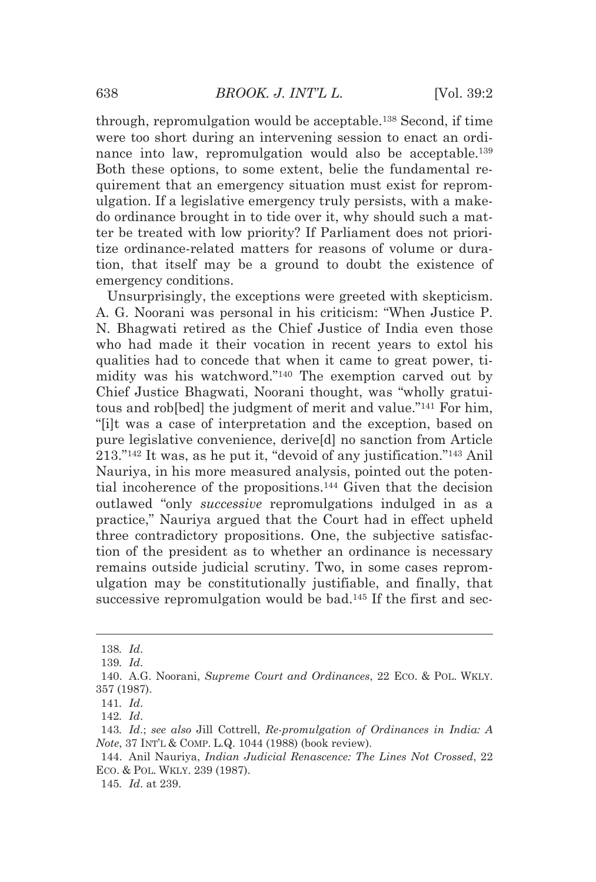through, repromulgation would be acceptable.138 Second, if time were too short during an intervening session to enact an ordinance into law, repromulgation would also be acceptable.139 Both these options, to some extent, belie the fundamental requirement that an emergency situation must exist for repromulgation. If a legislative emergency truly persists, with a makedo ordinance brought in to tide over it, why should such a matter be treated with low priority? If Parliament does not prioritize ordinance-related matters for reasons of volume or duration, that itself may be a ground to doubt the existence of emergency conditions.

Unsurprisingly, the exceptions were greeted with skepticism. A. G. Noorani was personal in his criticism: "When Justice P. N. Bhagwati retired as the Chief Justice of India even those who had made it their vocation in recent years to extol his qualities had to concede that when it came to great power, timidity was his watchword."140 The exemption carved out by Chief Justice Bhagwati, Noorani thought, was "wholly gratuitous and rob[bed] the judgment of merit and value."141 For him, "[i]t was a case of interpretation and the exception, based on pure legislative convenience, derive[d] no sanction from Article 213."142 It was, as he put it, "devoid of any justification."143 Anil Nauriya, in his more measured analysis, pointed out the potential incoherence of the propositions.144 Given that the decision outlawed "only *successive* repromulgations indulged in as a practice," Nauriya argued that the Court had in effect upheld three contradictory propositions. One, the subjective satisfaction of the president as to whether an ordinance is necessary remains outside judicial scrutiny. Two, in some cases repromulgation may be constitutionally justifiable, and finally, that successive repromulgation would be bad.<sup>145</sup> If the first and sec-

<u> 1989 - Johann Barn, mars eta bat erroman erroman erroman erroman erroman erroman erroman erroman erroman err</u>

<sup>138</sup>*. Id*.

<sup>139</sup>*. Id*.

 <sup>140.</sup> A.G. Noorani, *Supreme Court and Ordinances*, 22 ECO. & POL. WKLY. 357 (1987).

<sup>141</sup>*. Id*.

<sup>142</sup>*. Id*.

<sup>143</sup>*. Id*.; *see also* Jill Cottrell, *Re-promulgation of Ordinances in India: A Note*, 37 INT'L & COMP. L.Q. 1044 (1988) (book review).

 <sup>144.</sup> Anil Nauriya, *Indian Judicial Renascence: The Lines Not Crossed*, 22 ECO. & POL. WKLY. 239 (1987).

<sup>145</sup>*. Id*. at 239.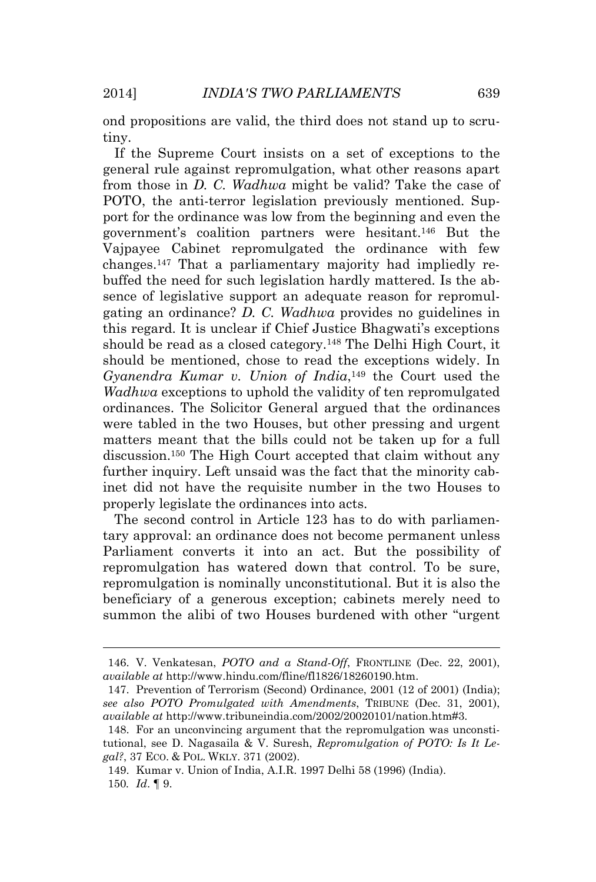ond propositions are valid, the third does not stand up to scrutiny.

If the Supreme Court insists on a set of exceptions to the general rule against repromulgation, what other reasons apart from those in *D. C. Wadhwa* might be valid? Take the case of POTO, the anti-terror legislation previously mentioned. Support for the ordinance was low from the beginning and even the government's coalition partners were hesitant.146 But the Vajpayee Cabinet repromulgated the ordinance with few changes.147 That a parliamentary majority had impliedly rebuffed the need for such legislation hardly mattered. Is the absence of legislative support an adequate reason for repromulgating an ordinance? *D. C. Wadhwa* provides no guidelines in this regard. It is unclear if Chief Justice Bhagwati's exceptions should be read as a closed category.<sup>148</sup> The Delhi High Court, it should be mentioned, chose to read the exceptions widely. In *Gyanendra Kumar v. Union of India*,149 the Court used the *Wadhwa* exceptions to uphold the validity of ten repromulgated ordinances. The Solicitor General argued that the ordinances were tabled in the two Houses, but other pressing and urgent matters meant that the bills could not be taken up for a full discussion.150 The High Court accepted that claim without any further inquiry. Left unsaid was the fact that the minority cabinet did not have the requisite number in the two Houses to properly legislate the ordinances into acts.

The second control in Article 123 has to do with parliamentary approval: an ordinance does not become permanent unless Parliament converts it into an act. But the possibility of repromulgation has watered down that control. To be sure, repromulgation is nominally unconstitutional. But it is also the beneficiary of a generous exception; cabinets merely need to summon the alibi of two Houses burdened with other "urgent

 149. Kumar v. Union of India, A.I.R. 1997 Delhi 58 (1996) (India). 150*. Id*. ¶ 9.

 146. V. Venkatesan, *POTO and a Stand-Off*, FRONTLINE (Dec. 22, 2001), *available at* http://www.hindu.com/fline/fl1826/18260190.htm.

 <sup>147.</sup> Prevention of Terrorism (Second) Ordinance, 2001 (12 of 2001) (India); *see also POTO Promulgated with Amendments*, TRIBUNE (Dec. 31, 2001), *available at* http://www.tribuneindia.com/2002/20020101/nation.htm#3.

 <sup>148.</sup> For an unconvincing argument that the repromulgation was unconstitutional, see D. Nagasaila & V. Suresh, *Repromulgation of POTO: Is It Legal?*, 37 ECO. & POL. WKLY. 371 (2002).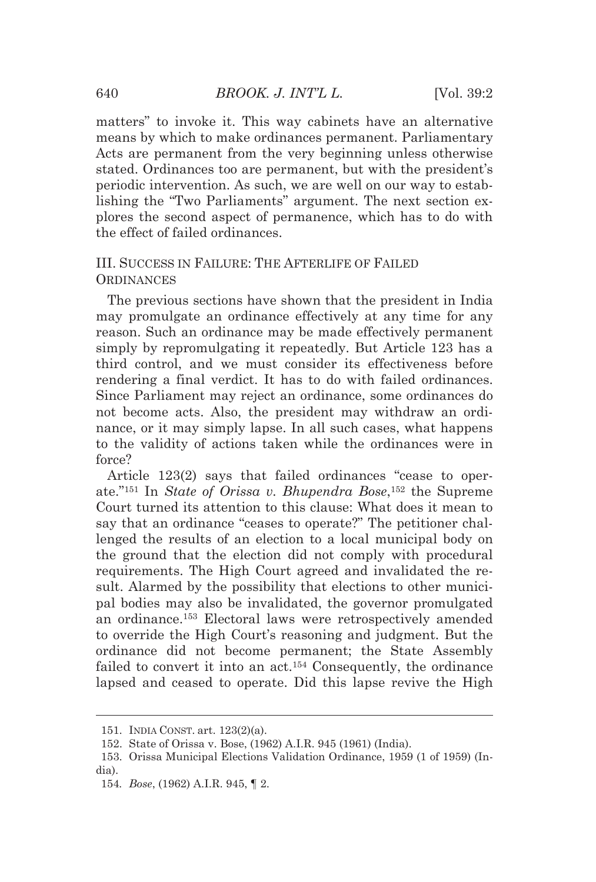matters" to invoke it. This way cabinets have an alternative means by which to make ordinances permanent. Parliamentary Acts are permanent from the very beginning unless otherwise stated. Ordinances too are permanent, but with the president's periodic intervention. As such, we are well on our way to establishing the "Two Parliaments" argument. The next section explores the second aspect of permanence, which has to do with the effect of failed ordinances.

# III. SUCCESS IN FAILURE: THE AFTERLIFE OF FAILED **ORDINANCES**

The previous sections have shown that the president in India may promulgate an ordinance effectively at any time for any reason. Such an ordinance may be made effectively permanent simply by repromulgating it repeatedly. But Article 123 has a third control, and we must consider its effectiveness before rendering a final verdict. It has to do with failed ordinances. Since Parliament may reject an ordinance, some ordinances do not become acts. Also, the president may withdraw an ordinance, or it may simply lapse. In all such cases, what happens to the validity of actions taken while the ordinances were in force?

Article 123(2) says that failed ordinances "cease to operate."151 In *State of Orissa v. Bhupendra Bose*,152 the Supreme Court turned its attention to this clause: What does it mean to say that an ordinance "ceases to operate?" The petitioner challenged the results of an election to a local municipal body on the ground that the election did not comply with procedural requirements. The High Court agreed and invalidated the result. Alarmed by the possibility that elections to other municipal bodies may also be invalidated, the governor promulgated an ordinance.153 Electoral laws were retrospectively amended to override the High Court's reasoning and judgment. But the ordinance did not become permanent; the State Assembly failed to convert it into an act.<sup>154</sup> Consequently, the ordinance lapsed and ceased to operate. Did this lapse revive the High

<u> Andreas Andreas Andreas Andreas Andreas Andreas Andreas Andreas Andreas Andreas Andreas Andreas Andreas Andr</u>

 <sup>151.</sup> INDIA CONST. art. 123(2)(a).

 <sup>152.</sup> State of Orissa v. Bose, (1962) A.I.R. 945 (1961) (India).

 <sup>153.</sup> Orissa Municipal Elections Validation Ordinance, 1959 (1 of 1959) (India).

<sup>154</sup>*. Bose*, (1962) A.I.R. 945, ¶ 2.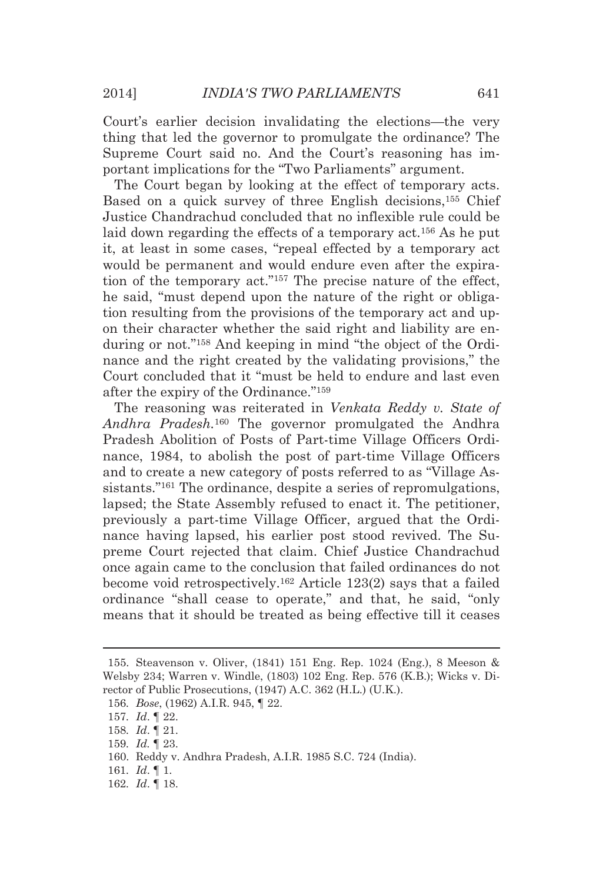Court's earlier decision invalidating the elections—the very thing that led the governor to promulgate the ordinance? The Supreme Court said no. And the Court's reasoning has important implications for the "Two Parliaments" argument.

The Court began by looking at the effect of temporary acts. Based on a quick survey of three English decisions,155 Chief Justice Chandrachud concluded that no inflexible rule could be laid down regarding the effects of a temporary act.<sup>156</sup> As he put it, at least in some cases, "repeal effected by a temporary act would be permanent and would endure even after the expiration of the temporary act."157 The precise nature of the effect, he said, "must depend upon the nature of the right or obligation resulting from the provisions of the temporary act and upon their character whether the said right and liability are enduring or not."158 And keeping in mind "the object of the Ordinance and the right created by the validating provisions," the Court concluded that it "must be held to endure and last even after the expiry of the Ordinance."159

The reasoning was reiterated in *Venkata Reddy v. State of Andhra Pradesh.*160 The governor promulgated the Andhra Pradesh Abolition of Posts of Part-time Village Officers Ordinance, 1984, to abolish the post of part-time Village Officers and to create a new category of posts referred to as "Village Assistants."161 The ordinance, despite a series of repromulgations, lapsed; the State Assembly refused to enact it. The petitioner, previously a part-time Village Officer, argued that the Ordinance having lapsed, his earlier post stood revived. The Supreme Court rejected that claim. Chief Justice Chandrachud once again came to the conclusion that failed ordinances do not become void retrospectively.162 Article 123(2) says that a failed ordinance "shall cease to operate," and that, he said, "only means that it should be treated as being effective till it ceases

<u> 1989 - Johann Stein, marwolaethau a bhann an t-Amhain an t-Amhain an t-Amhain an t-Amhain an t-Amhain an t-A</u>

 <sup>155.</sup> Steavenson v. Oliver, (1841) 151 Eng. Rep. 1024 (Eng.), 8 Meeson & Welsby 234; Warren v. Windle, (1803) 102 Eng. Rep. 576 (K.B.); Wicks v. Director of Public Prosecutions, (1947) A.C. 362 (H.L.) (U.K.).

<sup>156</sup>*. Bose*, (1962) A.I.R. 945, ¶ 22.

<sup>157</sup>*. Id*. ¶ 22.

<sup>158</sup>*. Id*. ¶ 21.

<sup>159</sup>*. Id.* ¶ 23.

 <sup>160.</sup> Reddy v. Andhra Pradesh, A.I.R. 1985 S.C. 724 (India).

<sup>161</sup>*. Id*. ¶ 1.

<sup>162</sup>*. Id*. ¶ 18.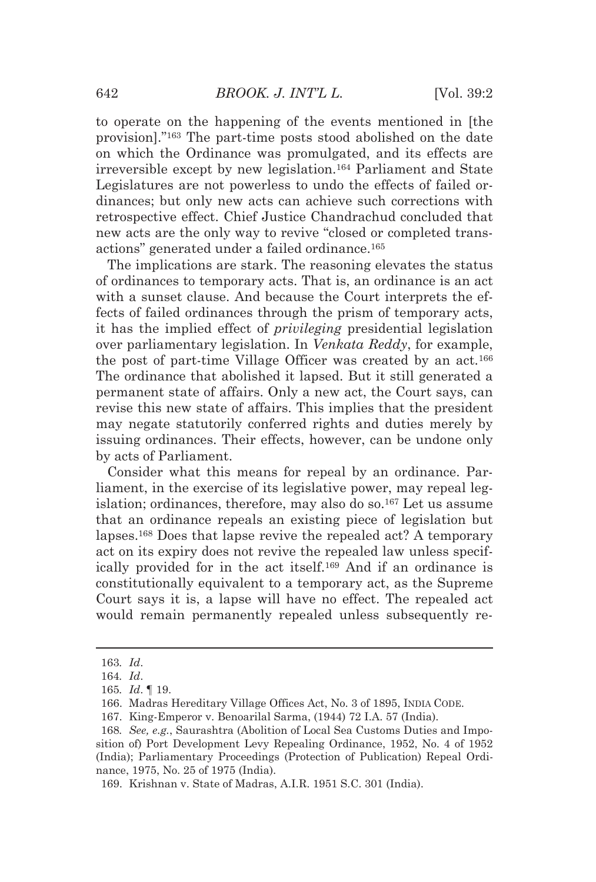to operate on the happening of the events mentioned in [the provision]."163 The part-time posts stood abolished on the date on which the Ordinance was promulgated, and its effects are irreversible except by new legislation.164 Parliament and State Legislatures are not powerless to undo the effects of failed ordinances; but only new acts can achieve such corrections with retrospective effect. Chief Justice Chandrachud concluded that new acts are the only way to revive "closed or completed transactions" generated under a failed ordinance.165

The implications are stark. The reasoning elevates the status of ordinances to temporary acts. That is, an ordinance is an act with a sunset clause. And because the Court interprets the effects of failed ordinances through the prism of temporary acts, it has the implied effect of *privileging* presidential legislation over parliamentary legislation. In *Venkata Reddy*, for example, the post of part-time Village Officer was created by an act.166 The ordinance that abolished it lapsed. But it still generated a permanent state of affairs. Only a new act, the Court says, can revise this new state of affairs. This implies that the president may negate statutorily conferred rights and duties merely by issuing ordinances. Their effects, however, can be undone only by acts of Parliament.

Consider what this means for repeal by an ordinance. Parliament, in the exercise of its legislative power, may repeal legislation; ordinances, therefore, may also do so.167 Let us assume that an ordinance repeals an existing piece of legislation but lapses.168 Does that lapse revive the repealed act? A temporary act on its expiry does not revive the repealed law unless specifically provided for in the act itself.169 And if an ordinance is constitutionally equivalent to a temporary act, as the Supreme Court says it is, a lapse will have no effect. The repealed act would remain permanently repealed unless subsequently re-

<u> Alexandria de la contrada de la contrada de la contrada de la contrada de la contrada de la contrada de la c</u>

<sup>163</sup>*. Id*.

<sup>164</sup>*. Id*.

<sup>165</sup>*. Id*. ¶ 19.

 <sup>166.</sup> Madras Hereditary Village Offices Act, No. 3 of 1895, INDIA CODE.

 <sup>167.</sup> King-Emperor v. Benoarilal Sarma, (1944) 72 I.A. 57 (India).

<sup>168</sup>*. See, e.g.*, Saurashtra (Abolition of Local Sea Customs Duties and Imposition of) Port Development Levy Repealing Ordinance, 1952, No. 4 of 1952 (India); Parliamentary Proceedings (Protection of Publication) Repeal Ordinance, 1975, No. 25 of 1975 (India).

 <sup>169.</sup> Krishnan v. State of Madras, A.I.R. 1951 S.C. 301 (India).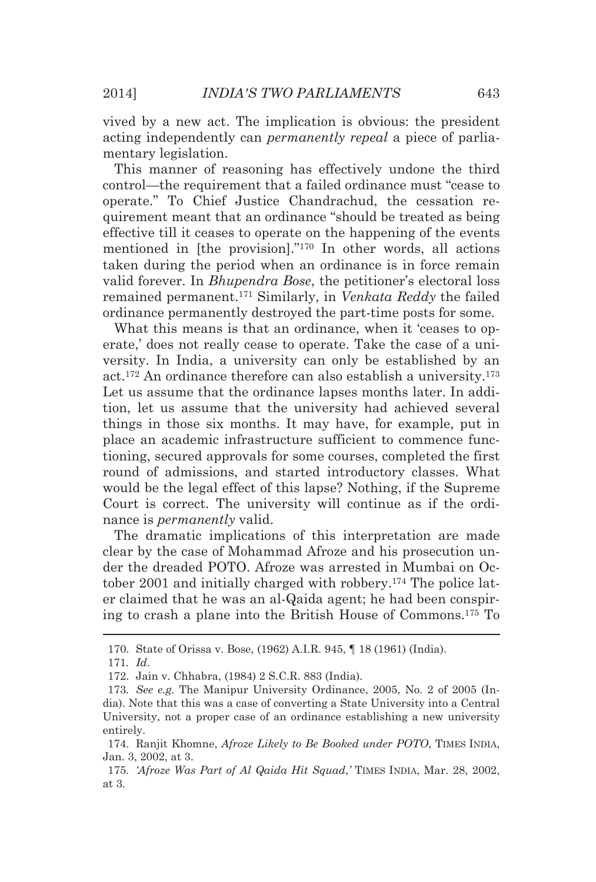vived by a new act. The implication is obvious: the president acting independently can *permanently repeal* a piece of parliamentary legislation.

This manner of reasoning has effectively undone the third control—the requirement that a failed ordinance must "cease to operate." To Chief Justice Chandrachud, the cessation requirement meant that an ordinance "should be treated as being effective till it ceases to operate on the happening of the events mentioned in [the provision]."170 In other words, all actions taken during the period when an ordinance is in force remain valid forever. In *Bhupendra Bose*, the petitioner's electoral loss remained permanent.171 Similarly, in *Venkata Reddy* the failed ordinance permanently destroyed the part-time posts for some.

What this means is that an ordinance, when it 'ceases to operate,' does not really cease to operate. Take the case of a university. In India, a university can only be established by an act.172 An ordinance therefore can also establish a university.173 Let us assume that the ordinance lapses months later. In addition, let us assume that the university had achieved several things in those six months. It may have, for example, put in place an academic infrastructure sufficient to commence functioning, secured approvals for some courses, completed the first round of admissions, and started introductory classes. What would be the legal effect of this lapse? Nothing, if the Supreme Court is correct. The university will continue as if the ordinance is *permanently* valid.

The dramatic implications of this interpretation are made clear by the case of Mohammad Afroze and his prosecution under the dreaded POTO. Afroze was arrested in Mumbai on October 2001 and initially charged with robbery.174 The police later claimed that he was an al-Qaida agent; he had been conspiring to crash a plane into the British House of Commons.175 To

<u> 1989 - Johann Stein, marwolaethau a bhann an t-Amhair Aonaichte ann an t-Amhair Aonaichte ann an t-Amhair Aon</u>

 <sup>170.</sup> State of Orissa v. Bose, (1962) A.I.R. 945, ¶ 18 (1961) (India).

<sup>171</sup>*. Id*.

 <sup>172.</sup> Jain v. Chhabra, (1984) 2 S.C.R. 883 (India).

<sup>173</sup>*. See e.g.* The Manipur University Ordinance, 2005, No. 2 of 2005 (India). Note that this was a case of converting a State University into a Central University, not a proper case of an ordinance establishing a new university entirely.

 <sup>174.</sup> Ranjit Khomne, *Afroze Likely to Be Booked under POTO*, TIMES INDIA, Jan. 3, 2002, at 3.

<sup>175</sup>*. 'Afroze Was Part of Al Qaida Hit Squad*,*'* TIMES INDIA, Mar. 28, 2002, at 3.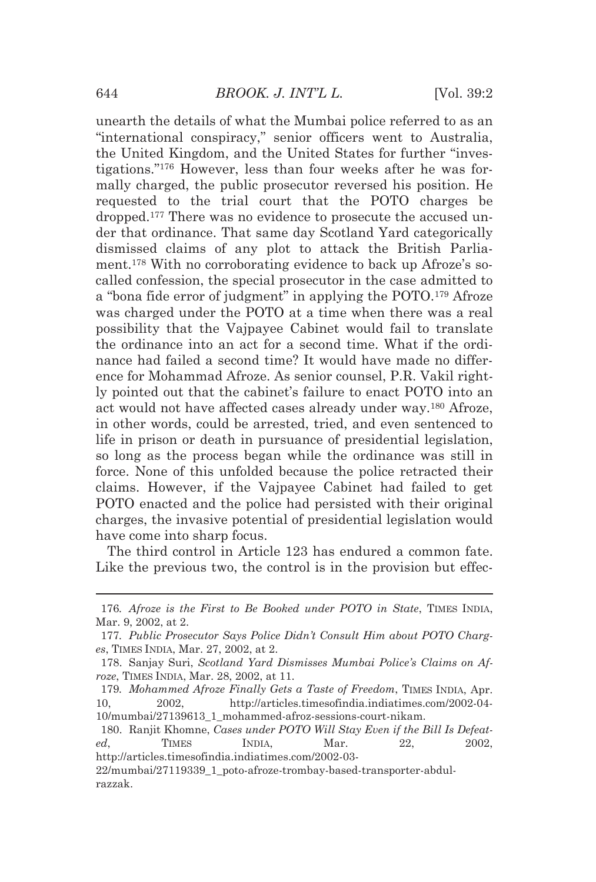unearth the details of what the Mumbai police referred to as an "international conspiracy," senior officers went to Australia, the United Kingdom, and the United States for further ''investigations."176 However, less than four weeks after he was formally charged, the public prosecutor reversed his position. He requested to the trial court that the POTO charges be dropped.177 There was no evidence to prosecute the accused under that ordinance. That same day Scotland Yard categorically dismissed claims of any plot to attack the British Parliament.178 With no corroborating evidence to back up Afroze's socalled confession, the special prosecutor in the case admitted to a "bona fide error of judgment" in applying the POTO.179 Afroze was charged under the POTO at a time when there was a real possibility that the Vajpayee Cabinet would fail to translate the ordinance into an act for a second time. What if the ordinance had failed a second time? It would have made no difference for Mohammad Afroze. As senior counsel, P.R. Vakil rightly pointed out that the cabinet's failure to enact POTO into an act would not have affected cases already under way.180 Afroze, in other words, could be arrested, tried, and even sentenced to life in prison or death in pursuance of presidential legislation, so long as the process began while the ordinance was still in force. None of this unfolded because the police retracted their claims. However, if the Vajpayee Cabinet had failed to get POTO enacted and the police had persisted with their original charges, the invasive potential of presidential legislation would have come into sharp focus.

The third control in Article 123 has endured a common fate. Like the previous two, the control is in the provision but effec-

http://articles.timesofindia.indiatimes.com/2002-03-

<sup>&</sup>lt;u> 1989 - Johann Barn, mars eta bat erroman erroman erroman erroman erroman erroman erroman erroman erroman err</u> 176*. Afroze is the First to Be Booked under POTO in State*, TIMES INDIA, Mar. 9, 2002, at 2.

<sup>177</sup>*. Public Prosecutor Says Police Didn't Consult Him about POTO Charges*, TIMES INDIA, Mar. 27, 2002, at 2.

 <sup>178.</sup> Sanjay Suri, *Scotland Yard Dismisses Mumbai Police's Claims on Afroze*, TIMES INDIA, Mar. 28, 2002, at 11.

<sup>179</sup>*. Mohammed Afroze Finally Gets a Taste of Freedom*, TIMES INDIA, Apr. 10, 2002, http://articles.timesofindia.indiatimes.com/2002-04- 10/mumbai/27139613\_1\_mohammed-afroz-sessions-court-nikam.

 <sup>180.</sup> Ranjit Khomne, *Cases under POTO Will Stay Even if the Bill Is Defeated*, TIMES INDIA, Mar. 22, 2002,

<sup>22/</sup>mumbai/27119339\_1\_poto-afroze-trombay-based-transporter-abdulrazzak.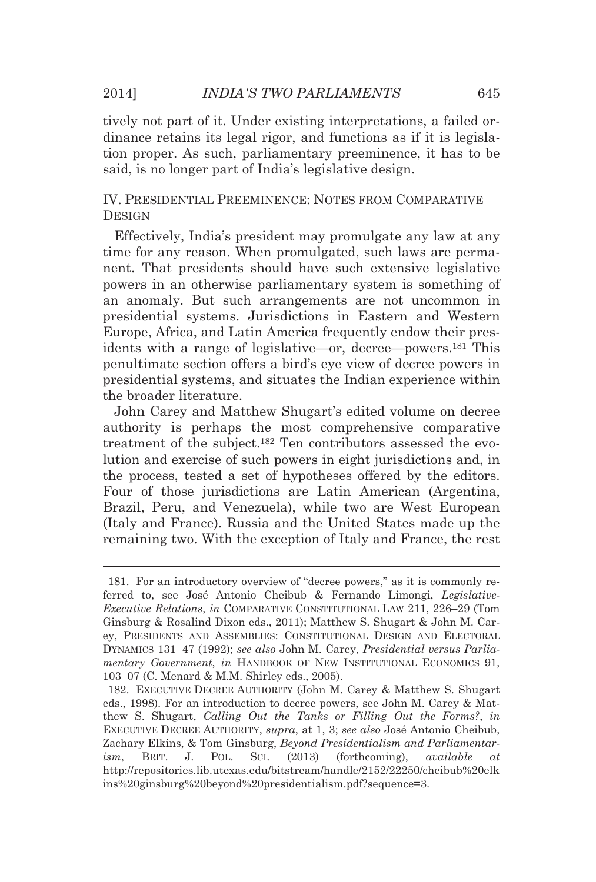tively not part of it. Under existing interpretations, a failed ordinance retains its legal rigor, and functions as if it is legislation proper. As such, parliamentary preeminence, it has to be said, is no longer part of India's legislative design.

IV. PRESIDENTIAL PREEMINENCE: NOTES FROM COMPARATIVE **DESIGN** 

Effectively, India's president may promulgate any law at any time for any reason. When promulgated, such laws are permanent. That presidents should have such extensive legislative powers in an otherwise parliamentary system is something of an anomaly. But such arrangements are not uncommon in presidential systems. Jurisdictions in Eastern and Western Europe, Africa, and Latin America frequently endow their presidents with a range of legislative—or, decree—powers.181 This penultimate section offers a bird's eye view of decree powers in presidential systems, and situates the Indian experience within the broader literature.

John Carey and Matthew Shugart's edited volume on decree authority is perhaps the most comprehensive comparative treatment of the subject.182 Ten contributors assessed the evolution and exercise of such powers in eight jurisdictions and, in the process, tested a set of hypotheses offered by the editors. Four of those jurisdictions are Latin American (Argentina, Brazil, Peru, and Venezuela), while two are West European (Italy and France). Russia and the United States made up the remaining two. With the exception of Italy and France, the rest

<u> Andreas Andreas Andreas Andreas Andreas Andreas Andreas Andreas Andreas Andreas Andreas Andreas Andreas Andr</u>

 <sup>181.</sup> For an introductory overview of "decree powers," as it is commonly referred to, see José Antonio Cheibub & Fernando Limongi, *Legislative-Executive Relations*, *in* COMPARATIVE CONSTITUTIONAL LAW 211, 226–29 (Tom Ginsburg & Rosalind Dixon eds., 2011); Matthew S. Shugart & John M. Carey, PRESIDENTS AND ASSEMBLIES: CONSTITUTIONAL DESIGN AND ELECTORAL DYNAMICS 131–47 (1992); *see also* John M. Carey, *Presidential versus Parliamentary Government*, *in* HANDBOOK OF NEW INSTITUTIONAL ECONOMICS 91, 103–07 (C. Menard & M.M. Shirley eds., 2005).

 <sup>182.</sup> EXECUTIVE DECREE AUTHORITY (John M. Carey & Matthew S. Shugart eds., 1998). For an introduction to decree powers, see John M. Carey & Matthew S. Shugart, *Calling Out the Tanks or Filling Out the Forms?*, *in* EXECUTIVE DECREE AUTHORITY, *supra*, at 1, 3; *see also* José Antonio Cheibub, Zachary Elkins, & Tom Ginsburg, *Beyond Presidentialism and Parliamentarism*, BRIT. J. POL. SCI. (2013) (forthcoming), *available at* http://repositories.lib.utexas.edu/bitstream/handle/2152/22250/cheibub%20elk ins%20ginsburg%20beyond%20presidentialism.pdf?sequence=3.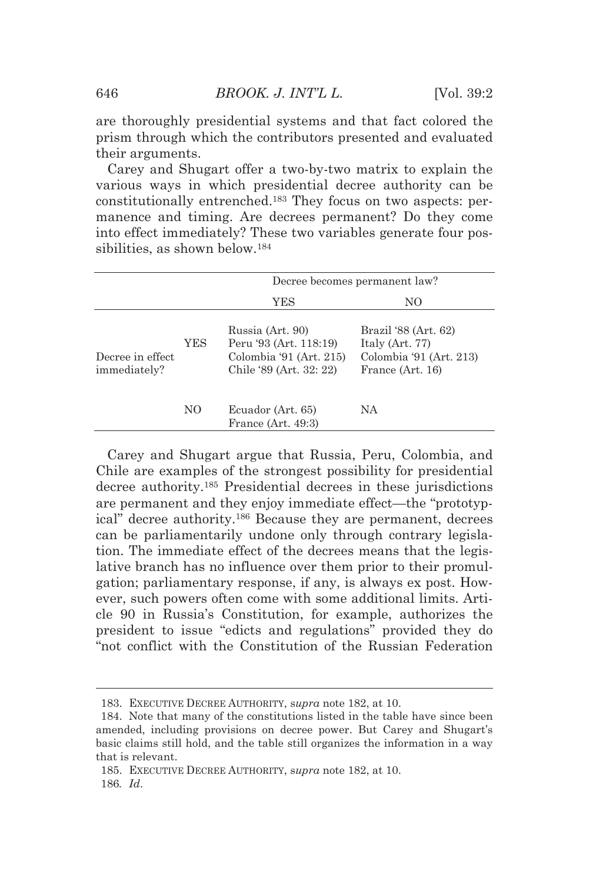are thoroughly presidential systems and that fact colored the prism through which the contributors presented and evaluated their arguments.

Carey and Shugart offer a two-by-two matrix to explain the various ways in which presidential decree authority can be constitutionally entrenched.183 They focus on two aspects: permanence and timing. Are decrees permanent? Do they come into effect immediately? These two variables generate four possibilities, as shown below.184

|                                   |     | Decree becomes permanent law?                                                                    |                                                                                        |  |  |
|-----------------------------------|-----|--------------------------------------------------------------------------------------------------|----------------------------------------------------------------------------------------|--|--|
|                                   |     | YES                                                                                              | NO                                                                                     |  |  |
| Decree in effect.<br>immediately? | YES | Russia (Art. 90)<br>Peru '93 (Art. 118:19)<br>Colombia '91 (Art. 215)<br>Chile '89 (Art. 32: 22) | Brazil '88 (Art. 62)<br>Italy (Art. 77)<br>Colombia '91 (Art. 213)<br>France (Art. 16) |  |  |
|                                   | NO  | Ecuador (Art. 65)<br>France (Art. 49:3)                                                          | NA                                                                                     |  |  |

Carey and Shugart argue that Russia, Peru, Colombia, and Chile are examples of the strongest possibility for presidential decree authority.185 Presidential decrees in these jurisdictions are permanent and they enjoy immediate effect—the "prototypical" decree authority.186 Because they are permanent, decrees can be parliamentarily undone only through contrary legislation. The immediate effect of the decrees means that the legislative branch has no influence over them prior to their promulgation; parliamentary response, if any, is always ex post. However, such powers often come with some additional limits. Article 90 in Russia's Constitution, for example, authorizes the president to issue "edicts and regulations" provided they do "not conflict with the Constitution of the Russian Federation

<u> 1989 - Johann Barn, mars eta bat erroman erroman erroman erroman erroman erroman erroman erroman erroman err</u>

 <sup>183.</sup> EXECUTIVE DECREE AUTHORITY, s*upra* note 182, at 10.

 <sup>184.</sup> Note that many of the constitutions listed in the table have since been amended, including provisions on decree power. But Carey and Shugart's basic claims still hold, and the table still organizes the information in a way that is relevant.

 <sup>185.</sup> EXECUTIVE DECREE AUTHORITY, s*upra* note 182, at 10.

<sup>186</sup>*. Id*.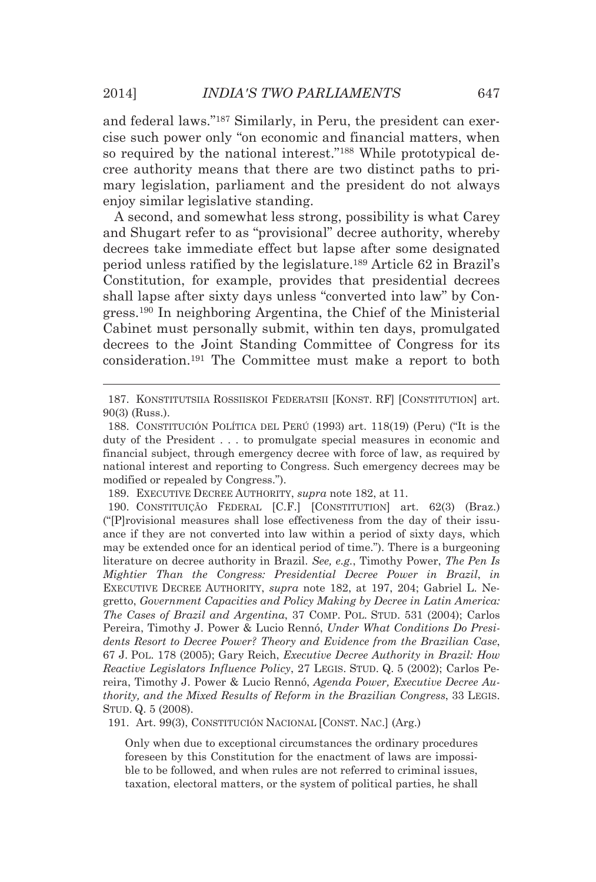and federal laws."187 Similarly, in Peru, the president can exercise such power only "on economic and financial matters, when so required by the national interest."<sup>188</sup> While prototypical decree authority means that there are two distinct paths to primary legislation, parliament and the president do not always enjoy similar legislative standing.

A second, and somewhat less strong, possibility is what Carey and Shugart refer to as "provisional" decree authority, whereby decrees take immediate effect but lapse after some designated period unless ratified by the legislature.189 Article 62 in Brazil's Constitution, for example, provides that presidential decrees shall lapse after sixty days unless "converted into law" by Congress.190 In neighboring Argentina, the Chief of the Ministerial Cabinet must personally submit, within ten days, promulgated decrees to the Joint Standing Committee of Congress for its consideration.191 The Committee must make a report to both

191. Art. 99(3), CONSTITUCIÓN NACIONAL [CONST. NAC.] (Arg.)

Only when due to exceptional circumstances the ordinary procedures foreseen by this Constitution for the enactment of laws are impossible to be followed, and when rules are not referred to criminal issues, taxation, electoral matters, or the system of political parties, he shall

<sup>&</sup>lt;u> Andreas Andreas Andreas Andreas Andreas Andreas Andreas Andreas Andreas Andreas Andreas Andreas Andreas Andr</u> 187. KONSTITUTSIIA ROSSIISKOI FEDERATSII [KONST. RF] [CONSTITUTION] art. 90(3) (Russ.).

 <sup>188.</sup> CONSTITUCIÓN POLÍTICA DEL PERÚ (1993) art. 118(19) (Peru) ("It is the duty of the President . . . to promulgate special measures in economic and financial subject, through emergency decree with force of law, as required by national interest and reporting to Congress. Such emergency decrees may be modified or repealed by Congress.").

 <sup>189.</sup> EXECUTIVE DECREE AUTHORITY, *supra* note 182, at 11.

 <sup>190.</sup> CONSTITUIÇÃO FEDERAL [C.F.] [CONSTITUTION] art. 62(3) (Braz.) ("[P]rovisional measures shall lose effectiveness from the day of their issuance if they are not converted into law within a period of sixty days, which may be extended once for an identical period of time."). There is a burgeoning literature on decree authority in Brazil. *See, e.g.*, Timothy Power, *The Pen Is Mightier Than the Congress: Presidential Decree Power in Brazil*, *in* EXECUTIVE DECREE AUTHORITY, *supra* note 182, at 197, 204; Gabriel L. Negretto, *Government Capacities and Policy Making by Decree in Latin America: The Cases of Brazil and Argentina*, 37 COMP. POL. STUD. 531 (2004); Carlos Pereira, Timothy J. Power & Lucio Rennó, *Under What Conditions Do Presidents Resort to Decree Power? Theory and Evidence from the Brazilian Case*, 67 J. POL. 178 (2005); Gary Reich, *Executive Decree Authority in Brazil: How Reactive Legislators Influence Policy*, 27 LEGIS. STUD. Q. 5 (2002); Carlos Pereira, Timothy J. Power & Lucio Rennó, *Agenda Power, Executive Decree Authority, and the Mixed Results of Reform in the Brazilian Congress*, 33 LEGIS. STUD. Q. 5 (2008).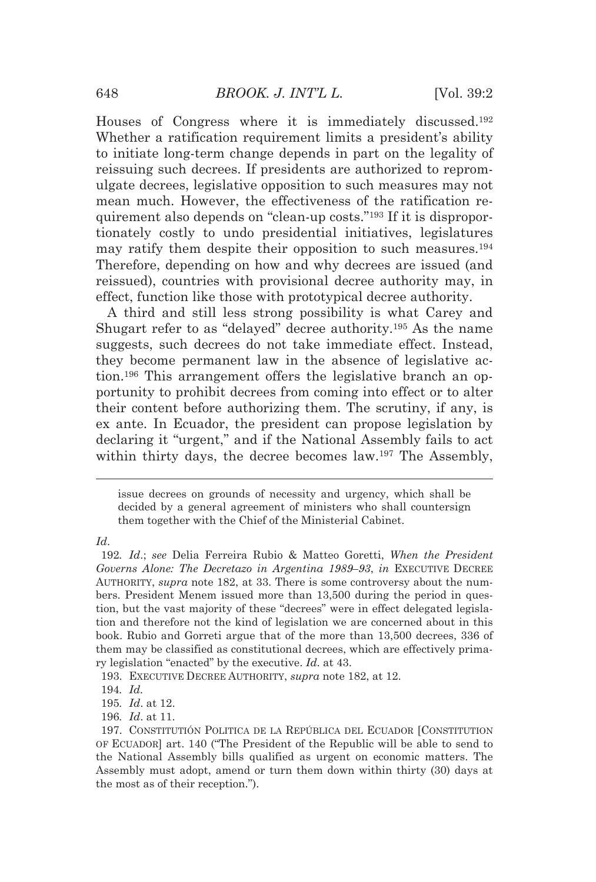Houses of Congress where it is immediately discussed.192 Whether a ratification requirement limits a president's ability to initiate long-term change depends in part on the legality of reissuing such decrees. If presidents are authorized to repromulgate decrees, legislative opposition to such measures may not mean much. However, the effectiveness of the ratification requirement also depends on "clean-up costs."193 If it is disproportionately costly to undo presidential initiatives, legislatures may ratify them despite their opposition to such measures.194 Therefore, depending on how and why decrees are issued (and reissued), countries with provisional decree authority may, in effect, function like those with prototypical decree authority.

A third and still less strong possibility is what Carey and Shugart refer to as "delayed" decree authority.195 As the name suggests, such decrees do not take immediate effect. Instead, they become permanent law in the absence of legislative action.196 This arrangement offers the legislative branch an opportunity to prohibit decrees from coming into effect or to alter their content before authorizing them. The scrutiny, if any, is ex ante. In Ecuador, the president can propose legislation by declaring it "urgent," and if the National Assembly fails to act within thirty days, the decree becomes law.197 The Assembly,

<u> Alexandria de la contrada de la contrada de la contrada de la contrada de la contrada de la contrada de la c</u>

*Id*.

193. EXECUTIVE DECREE AUTHORITY, *supra* note 182, at 12.

issue decrees on grounds of necessity and urgency, which shall be decided by a general agreement of ministers who shall countersign them together with the Chief of the Ministerial Cabinet.

<sup>192</sup>*. Id*.; *see* Delia Ferreira Rubio & Matteo Goretti, *When the President Governs Alone: The Decretazo in Argentina 1989–93*, *in* EXECUTIVE DECREE AUTHORITY, *supra* note 182, at 33. There is some controversy about the numbers. President Menem issued more than 13,500 during the period in question, but the vast majority of these "decrees" were in effect delegated legislation and therefore not the kind of legislation we are concerned about in this book. Rubio and Gorreti argue that of the more than 13,500 decrees, 336 of them may be classified as constitutional decrees, which are effectively primary legislation "enacted" by the executive. *Id*. at 43.

<sup>194</sup>*. Id.*

<sup>195</sup>*. Id*. at 12.

<sup>196</sup>*. Id*. at 11.

 <sup>197.</sup> CONSTITUTIÓN POLITICA DE LA REPÚBLICA DEL ECUADOR [CONSTITUTION OF ECUADOR] art. 140 ("The President of the Republic will be able to send to the National Assembly bills qualified as urgent on economic matters. The Assembly must adopt, amend or turn them down within thirty (30) days at the most as of their reception.").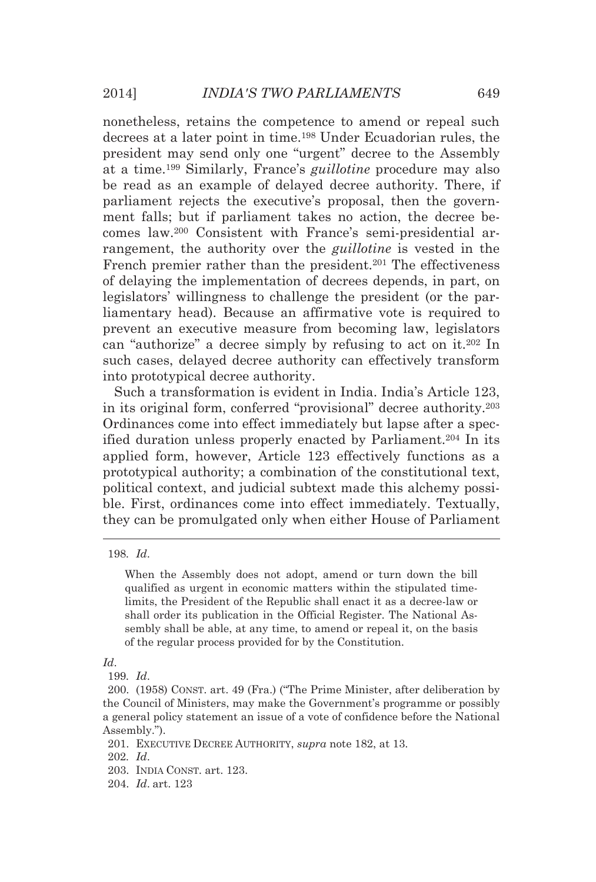nonetheless, retains the competence to amend or repeal such decrees at a later point in time.198 Under Ecuadorian rules, the president may send only one "urgent" decree to the Assembly at a time.199 Similarly, France's *guillotine* procedure may also be read as an example of delayed decree authority. There, if parliament rejects the executive's proposal, then the government falls; but if parliament takes no action, the decree becomes law.200 Consistent with France's semi-presidential arrangement, the authority over the *guillotine* is vested in the French premier rather than the president.<sup>201</sup> The effectiveness of delaying the implementation of decrees depends, in part, on legislators' willingness to challenge the president (or the parliamentary head). Because an affirmative vote is required to prevent an executive measure from becoming law, legislators can "authorize" a decree simply by refusing to act on it.202 In such cases, delayed decree authority can effectively transform into prototypical decree authority.

Such a transformation is evident in India. India's Article 123, in its original form, conferred "provisional" decree authority.203 Ordinances come into effect immediately but lapse after a specified duration unless properly enacted by Parliament.<sup>204</sup> In its applied form, however, Article 123 effectively functions as a prototypical authority; a combination of the constitutional text, political context, and judicial subtext made this alchemy possible. First, ordinances come into effect immediately. Textually, they can be promulgated only when either House of Parliament

<u> 1989 - Johann Stein, marwolaethau a bhann an t-Amhair Aonaichte ann an t-Amhair Aonaichte ann an t-Amhair Aon</u>

*Id*.

201. EXECUTIVE DECREE AUTHORITY, *supra* note 182, at 13.

202*. Id*.

- 203. INDIA CONST. art. 123.
- 204. *Id*. art. 123

<sup>198</sup>*. Id*.

When the Assembly does not adopt, amend or turn down the bill qualified as urgent in economic matters within the stipulated timelimits, the President of the Republic shall enact it as a decree-law or shall order its publication in the Official Register. The National Assembly shall be able, at any time, to amend or repeal it, on the basis of the regular process provided for by the Constitution.

<sup>199</sup>*. Id*.

 <sup>200. (1958)</sup> CONST. art. 49 (Fra.) ("The Prime Minister, after deliberation by the Council of Ministers, may make the Government's programme or possibly a general policy statement an issue of a vote of confidence before the National Assembly.").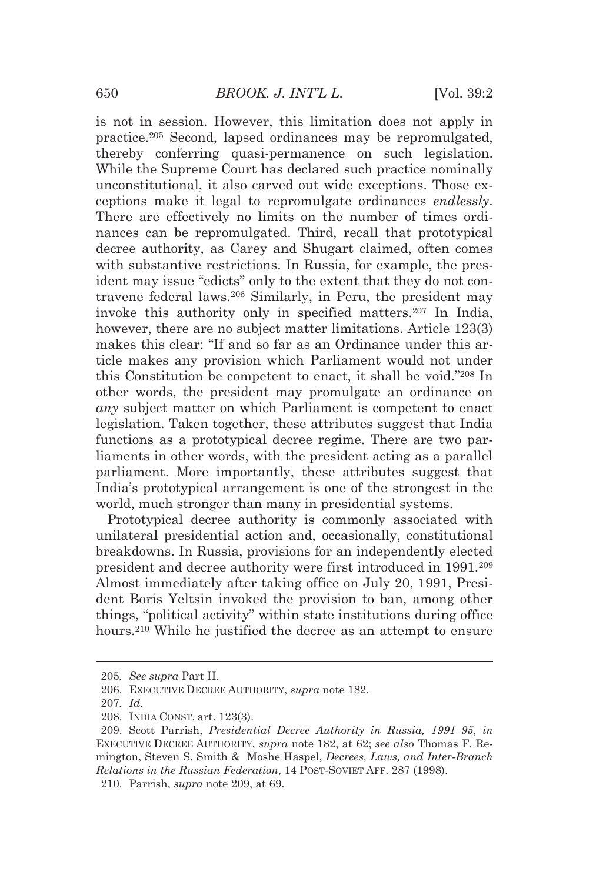is not in session. However, this limitation does not apply in practice.205 Second, lapsed ordinances may be repromulgated, thereby conferring quasi-permanence on such legislation. While the Supreme Court has declared such practice nominally unconstitutional, it also carved out wide exceptions. Those exceptions make it legal to repromulgate ordinances *endlessly*. There are effectively no limits on the number of times ordinances can be repromulgated. Third, recall that prototypical decree authority, as Carey and Shugart claimed, often comes with substantive restrictions. In Russia, for example, the president may issue "edicts" only to the extent that they do not contravene federal laws.206 Similarly, in Peru, the president may invoke this authority only in specified matters.207 In India, however, there are no subject matter limitations. Article 123(3) makes this clear: "If and so far as an Ordinance under this article makes any provision which Parliament would not under this Constitution be competent to enact, it shall be void."208 In other words, the president may promulgate an ordinance on *any* subject matter on which Parliament is competent to enact legislation. Taken together, these attributes suggest that India functions as a prototypical decree regime. There are two parliaments in other words, with the president acting as a parallel parliament. More importantly, these attributes suggest that India's prototypical arrangement is one of the strongest in the world, much stronger than many in presidential systems.

Prototypical decree authority is commonly associated with unilateral presidential action and, occasionally, constitutional breakdowns. In Russia, provisions for an independently elected president and decree authority were first introduced in 1991.209 Almost immediately after taking office on July 20, 1991, President Boris Yeltsin invoked the provision to ban, among other things, "political activity" within state institutions during office hours.<sup>210</sup> While he justified the decree as an attempt to ensure

<u> Andreas Andreas Andreas Andreas Andreas Andreas Andreas Andreas Andreas Andreas Andreas Andreas Andreas Andr</u>

<sup>205</sup>*. See supra* Part II.

 <sup>206.</sup> EXECUTIVE DECREE AUTHORITY, *supra* note 182.

<sup>207</sup>*. Id*.

 <sup>208.</sup> INDIA CONST. art. 123(3).

 <sup>209.</sup> Scott Parrish, *Presidential Decree Authority in Russia, 1991–95*, *in* EXECUTIVE DECREE AUTHORITY, *supra* note 182, at 62; *see also* Thomas F. Remington, Steven S. Smith & Moshe Haspel, *Decrees, Laws, and Inter-Branch Relations in the Russian Federation*, 14 POST-SOVIET AFF. 287 (1998). 210. Parrish, *supra* note 209, at 69.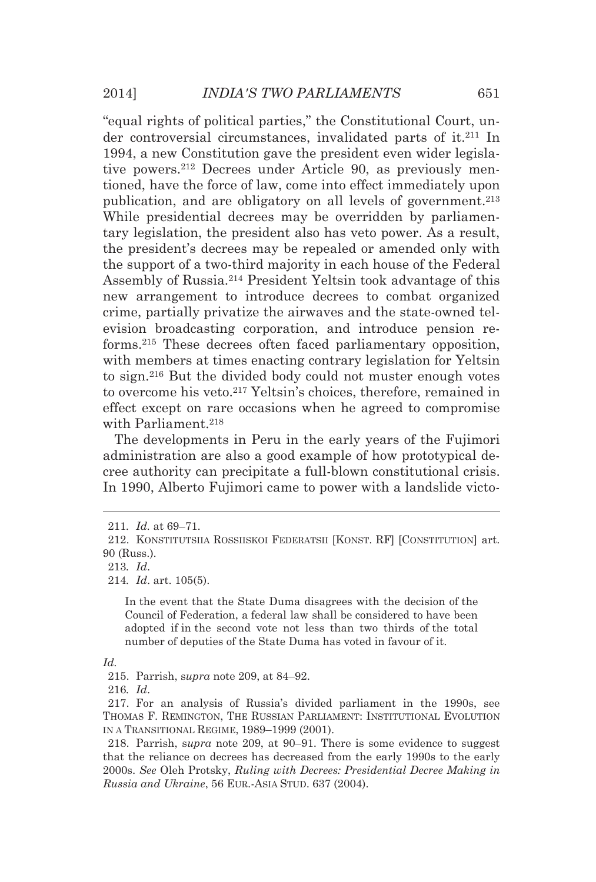"equal rights of political parties," the Constitutional Court, under controversial circumstances, invalidated parts of it.211 In 1994, a new Constitution gave the president even wider legislative powers.212 Decrees under Article 90, as previously mentioned, have the force of law, come into effect immediately upon publication, and are obligatory on all levels of government.213 While presidential decrees may be overridden by parliamentary legislation, the president also has veto power. As a result, the president's decrees may be repealed or amended only with the support of a two-third majority in each house of the Federal Assembly of Russia.214 President Yeltsin took advantage of this new arrangement to introduce decrees to combat organized crime, partially privatize the airwaves and the state-owned television broadcasting corporation, and introduce pension reforms.215 These decrees often faced parliamentary opposition, with members at times enacting contrary legislation for Yeltsin to sign.216 But the divided body could not muster enough votes to overcome his veto.217 Yeltsin's choices, therefore, remained in effect except on rare occasions when he agreed to compromise with Parliament.<sup>218</sup>

The developments in Peru in the early years of the Fujimori administration are also a good example of how prototypical decree authority can precipitate a full-blown constitutional crisis. In 1990, Alberto Fujimori came to power with a landslide victo-

<u> Andreas Andreas Andreas Andreas Andreas Andreas Andreas Andreas Andreas Andreas Andreas Andreas Andreas Andr</u>

In the event that the State Duma disagrees with the decision of the Council of Federation, a federal law shall be considered to have been adopted if in the second vote not less than two thirds of the total number of deputies of the State Duma has voted in favour of it.

 217. For an analysis of Russia's divided parliament in the 1990s, see THOMAS F. REMINGTON, THE RUSSIAN PARLIAMENT: INSTITUTIONAL EVOLUTION IN A TRANSITIONAL REGIME, 1989–1999 (2001).

 218. Parrish, s*upra* note 209, at 90–91. There is some evidence to suggest that the reliance on decrees has decreased from the early 1990s to the early 2000s. *See* Oleh Protsky, *Ruling with Decrees: Presidential Decree Making in Russia and Ukraine*, 56 EUR.-ASIA STUD. 637 (2004).

<sup>211</sup>*. Id.* at 69–71.

 <sup>212.</sup> KONSTITUTSIIA ROSSIISKOI FEDERATSII [KONST. RF] [CONSTITUTION] art. 90 (Russ.).

<sup>213</sup>*. Id*.

<sup>214</sup>*. Id*. art. 105(5).

*Id.* 

 <sup>215.</sup> Parrish, s*upra* note 209, at 84–92.

<sup>216</sup>*. Id*.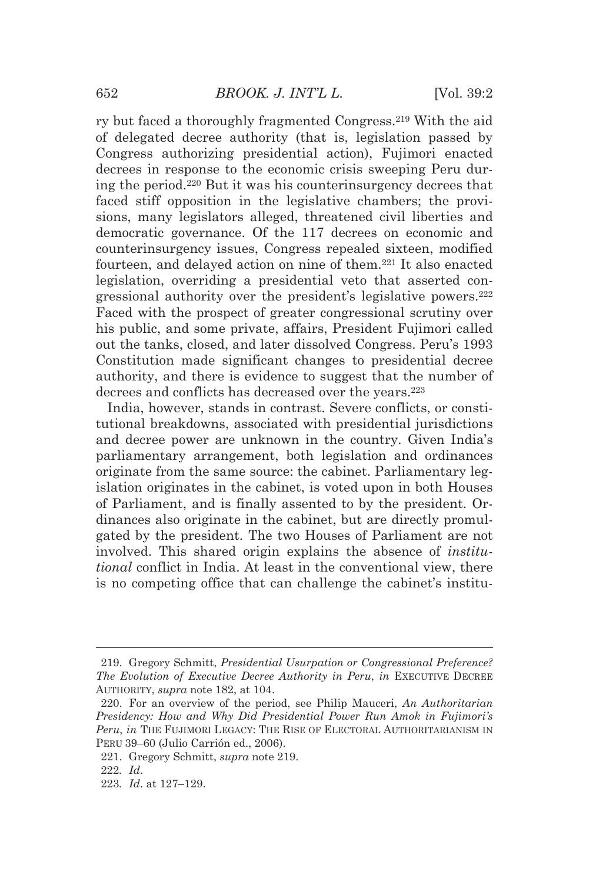ry but faced a thoroughly fragmented Congress.219 With the aid of delegated decree authority (that is, legislation passed by Congress authorizing presidential action), Fujimori enacted decrees in response to the economic crisis sweeping Peru during the period.220 But it was his counterinsurgency decrees that faced stiff opposition in the legislative chambers; the provisions, many legislators alleged, threatened civil liberties and democratic governance. Of the 117 decrees on economic and counterinsurgency issues, Congress repealed sixteen, modified fourteen, and delayed action on nine of them.221 It also enacted legislation, overriding a presidential veto that asserted congressional authority over the president's legislative powers.222 Faced with the prospect of greater congressional scrutiny over his public, and some private, affairs, President Fujimori called out the tanks, closed, and later dissolved Congress. Peru's 1993 Constitution made significant changes to presidential decree authority, and there is evidence to suggest that the number of decrees and conflicts has decreased over the years.<sup>223</sup>

India, however, stands in contrast. Severe conflicts, or constitutional breakdowns, associated with presidential jurisdictions and decree power are unknown in the country. Given India's parliamentary arrangement, both legislation and ordinances originate from the same source: the cabinet. Parliamentary legislation originates in the cabinet, is voted upon in both Houses of Parliament, and is finally assented to by the president. Ordinances also originate in the cabinet, but are directly promulgated by the president. The two Houses of Parliament are not involved. This shared origin explains the absence of *institutional* conflict in India. At least in the conventional view, there is no competing office that can challenge the cabinet's institu-

<u> 1989 - Johann Barn, mars ann an t-Amhain an t-Amhain ann an t-Amhain an t-Amhain an t-Amhain an t-Amhain an t-</u>

 <sup>219.</sup> Gregory Schmitt, *Presidential Usurpation or Congressional Preference? The Evolution of Executive Decree Authority in Peru*, *in* EXECUTIVE DECREE AUTHORITY, *supra* note 182, at 104.

 <sup>220.</sup> For an overview of the period, see Philip Mauceri, *An Authoritarian Presidency: How and Why Did Presidential Power Run Amok in Fujimori's Peru*, *in* THE FUJIMORI LEGACY: THE RISE OF ELECTORAL AUTHORITARIANISM IN PERU 39–60 (Julio Carrión ed., 2006).

 <sup>221.</sup> Gregory Schmitt, *supra* note 219.

<sup>222</sup>*. Id*.

<sup>223</sup>*. Id*. at 127–129.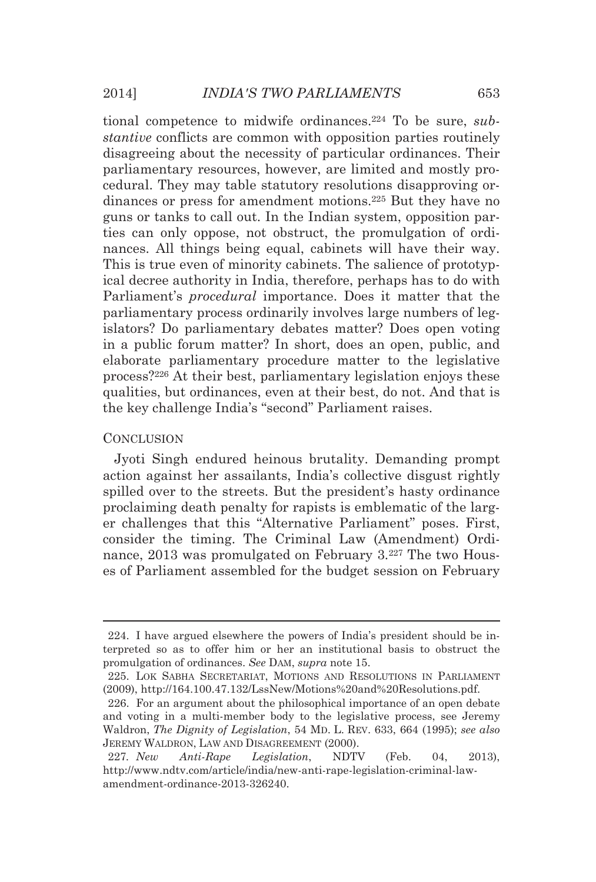tional competence to midwife ordinances.224 To be sure, *substantive* conflicts are common with opposition parties routinely disagreeing about the necessity of particular ordinances. Their parliamentary resources, however, are limited and mostly procedural. They may table statutory resolutions disapproving ordinances or press for amendment motions.225 But they have no guns or tanks to call out. In the Indian system, opposition parties can only oppose, not obstruct, the promulgation of ordinances. All things being equal, cabinets will have their way. This is true even of minority cabinets. The salience of prototypical decree authority in India, therefore, perhaps has to do with Parliament's *procedural* importance. Does it matter that the parliamentary process ordinarily involves large numbers of legislators? Do parliamentary debates matter? Does open voting in a public forum matter? In short, does an open, public, and elaborate parliamentary procedure matter to the legislative process?226 At their best, parliamentary legislation enjoys these qualities, but ordinances, even at their best, do not. And that is the key challenge India's "second" Parliament raises.

#### **CONCLUSION**

Jyoti Singh endured heinous brutality. Demanding prompt action against her assailants, India's collective disgust rightly spilled over to the streets. But the president's hasty ordinance proclaiming death penalty for rapists is emblematic of the larger challenges that this "Alternative Parliament" poses. First, consider the timing. The Criminal Law (Amendment) Ordinance, 2013 was promulgated on February 3.<sup>227</sup> The two Houses of Parliament assembled for the budget session on February

<u> Alexandria de la contrada de la contrada de la contrada de la contrada de la contrada de la contrada de la c</u>

 <sup>224.</sup> I have argued elsewhere the powers of India's president should be interpreted so as to offer him or her an institutional basis to obstruct the promulgation of ordinances. *See* DAM, *supra* note 15.

 <sup>225.</sup> LOK SABHA SECRETARIAT, MOTIONS AND RESOLUTIONS IN PARLIAMENT (2009), http://164.100.47.132/LssNew/Motions%20and%20Resolutions.pdf.

 <sup>226.</sup> For an argument about the philosophical importance of an open debate and voting in a multi-member body to the legislative process, see Jeremy Waldron, *The Dignity of Legislation*, 54 MD. L. REV. 633, 664 (1995); *see also* JEREMY WALDRON, LAW AND DISAGREEMENT (2000).

<sup>227</sup>*. New Anti-Rape Legislation*, NDTV (Feb. 04, 2013), http://www.ndtv.com/article/india/new-anti-rape-legislation-criminal-lawamendment-ordinance-2013-326240.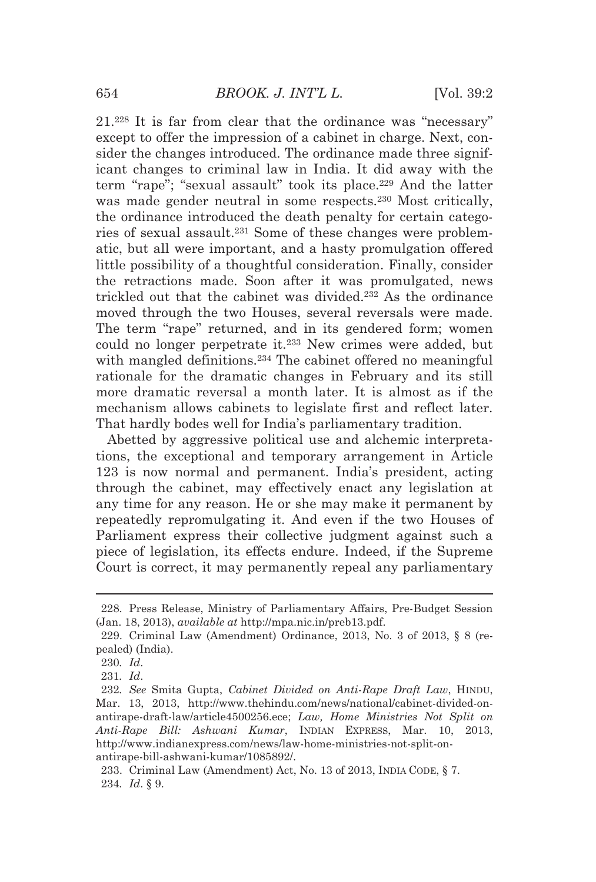21.228 It is far from clear that the ordinance was "necessary" except to offer the impression of a cabinet in charge. Next, consider the changes introduced. The ordinance made three significant changes to criminal law in India. It did away with the term "rape"; "sexual assault" took its place.229 And the latter was made gender neutral in some respects.<sup>230</sup> Most critically, the ordinance introduced the death penalty for certain categories of sexual assault.231 Some of these changes were problematic, but all were important, and a hasty promulgation offered little possibility of a thoughtful consideration. Finally, consider the retractions made. Soon after it was promulgated, news trickled out that the cabinet was divided.232 As the ordinance moved through the two Houses, several reversals were made. The term "rape" returned, and in its gendered form; women could no longer perpetrate it.233 New crimes were added, but with mangled definitions.<sup>234</sup> The cabinet offered no meaningful rationale for the dramatic changes in February and its still more dramatic reversal a month later. It is almost as if the mechanism allows cabinets to legislate first and reflect later. That hardly bodes well for India's parliamentary tradition.

Abetted by aggressive political use and alchemic interpretations, the exceptional and temporary arrangement in Article 123 is now normal and permanent. India's president, acting through the cabinet, may effectively enact any legislation at any time for any reason. He or she may make it permanent by repeatedly repromulgating it. And even if the two Houses of Parliament express their collective judgment against such a piece of legislation, its effects endure. Indeed, if the Supreme Court is correct, it may permanently repeal any parliamentary

<sup>&</sup>lt;u> Andreas Andreas Andreas Andreas Andreas Andreas Andreas Andreas Andreas Andreas Andreas Andreas Andreas Andr</u> 228. Press Release, Ministry of Parliamentary Affairs, Pre-Budget Session (Jan. 18, 2013), *available at* http://mpa.nic.in/preb13.pdf.

 <sup>229.</sup> Criminal Law (Amendment) Ordinance, 2013, No. 3 of 2013, § 8 (repealed) (India).

<sup>230</sup>*. Id*.

<sup>231</sup>*. Id*.

<sup>232</sup>*. See* Smita Gupta, *Cabinet Divided on Anti-Rape Draft Law*, HINDU, Mar. 13, 2013, http://www.thehindu.com/news/national/cabinet-divided-onantirape-draft-law/article4500256.ece; *Law, Home Ministries Not Split on Anti-Rape Bill: Ashwani Kumar*, INDIAN EXPRESS, Mar. 10, 2013, http://www.indianexpress.com/news/law-home-ministries-not-split-onantirape-bill-ashwani-kumar/1085892/.

 <sup>233.</sup> Criminal Law (Amendment) Act, No. 13 of 2013, INDIA CODE, § 7. 234*. Id*. § 9.